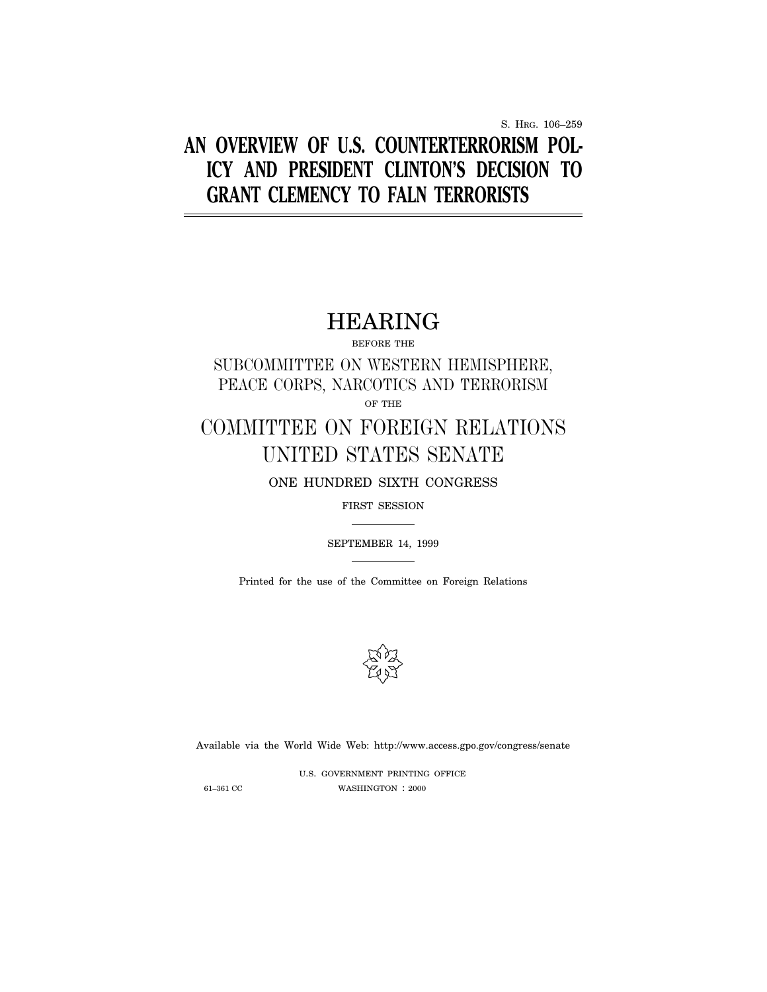S. HRG. 106–259

# **AN OVERVIEW OF U.S. COUNTERTERRORISM POL-ICY AND PRESIDENT CLINTON'S DECISION TO GRANT CLEMENCY TO FALN TERRORISTS**

# HEARING

BEFORE THE

SUBCOMMITTEE ON WESTERN HEMISPHERE, PEACE CORPS, NARCOTICS AND TERRORISM

OF THE

# COMMITTEE ON FOREIGN RELATIONS UNITED STATES SENATE

ONE HUNDRED SIXTH CONGRESS

FIRST SESSION

SEPTEMBER 14, 1999

Printed for the use of the Committee on Foreign Relations



Available via the World Wide Web: http://www.access.gpo.gov/congress/senate

U.S. GOVERNMENT PRINTING OFFICE 61–361 CC WASHINGTON : 2000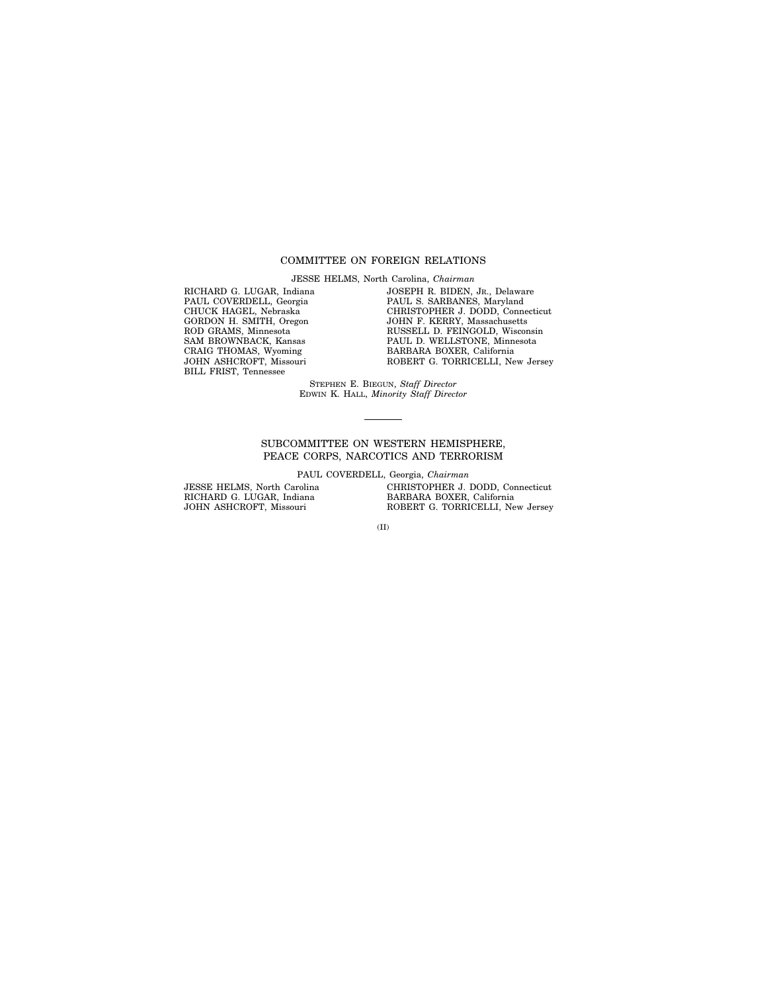# COMMITTEE ON FOREIGN RELATIONS

JESSE HELMS, North Carolina, *Chairman*

RICHARD G. LUGAR, Indiana PAUL COVERDELL, Georgia CHUCK HAGEL, Nebraska GORDON H. SMITH, Oregon ROD GRAMS, Minnesota SAM BROWNBACK, Kansas CRAIG THOMAS, Wyoming JOHN ASHCROFT, Missouri BILL FRIST, Tennessee

JOSEPH R. BIDEN, JR., Delaware PAUL S. SARBANES, Maryland CHRISTOPHER J. DODD, Connecticut JOHN F. KERRY, Massachusetts RUSSELL D. FEINGOLD, Wisconsin PAUL D. WELLSTONE, Minnesota BARBARA BOXER, California ROBERT G. TORRICELLI, New Jersey

STEPHEN E. BIEGUN, *Staff Director* EDWIN K. HALL, *Minority Staff Director*

### SUBCOMMITTEE ON WESTERN HEMISPHERE, PEACE CORPS, NARCOTICS AND TERRORISM

PAUL COVERDELL, Georgia, *Chairman*

JESSE HELMS, North Carolina RICHARD G. LUGAR, Indiana JOHN ASHCROFT, Missouri

CHRISTOPHER J. DODD, Connecticut BARBARA BOXER, California ROBERT G. TORRICELLI, New Jersey

(II)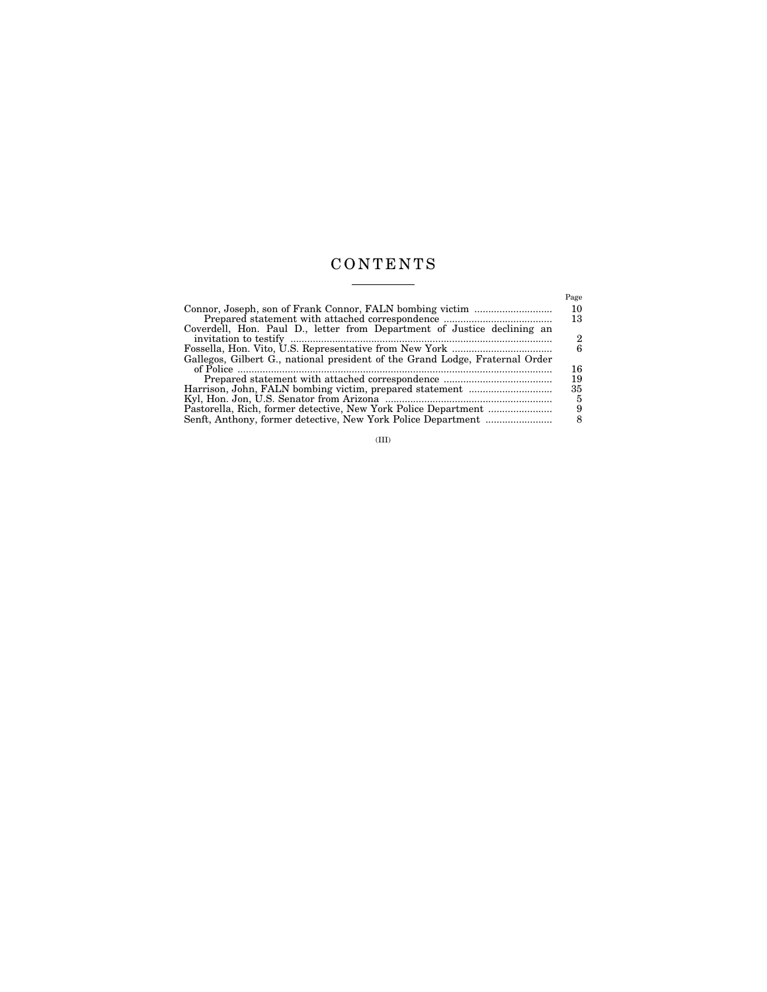# CONTENTS  $\frac{1}{\sqrt{2\pi}}\left( \frac{1}{\sqrt{2\pi}}\right) \left( \frac{1}{\sqrt{2\pi}}\right) \left( \frac{1}{\sqrt{2\pi}}\right) \left( \frac{1}{\sqrt{2\pi}}\right) \left( \frac{1}{\sqrt{2\pi}}\right) \left( \frac{1}{\sqrt{2\pi}}\right) \left( \frac{1}{\sqrt{2\pi}}\right) \left( \frac{1}{\sqrt{2\pi}}\right) \left( \frac{1}{\sqrt{2\pi}}\right) \left( \frac{1}{\sqrt{2\pi}}\right) \left( \frac{1}{\sqrt{2\pi}}\right) \left( \frac{1}{\sqrt$

| Coverdell, Hon. Paul D., letter from Department of Justice declining an      | Page<br>10<br>13<br>2 |
|------------------------------------------------------------------------------|-----------------------|
| Gallegos, Gilbert G., national president of the Grand Lodge, Fraternal Order | 6                     |
|                                                                              | 16<br>19              |
|                                                                              | 35                    |
| Pastorella, Rich, former detective, New York Police Department               | 8                     |

(III)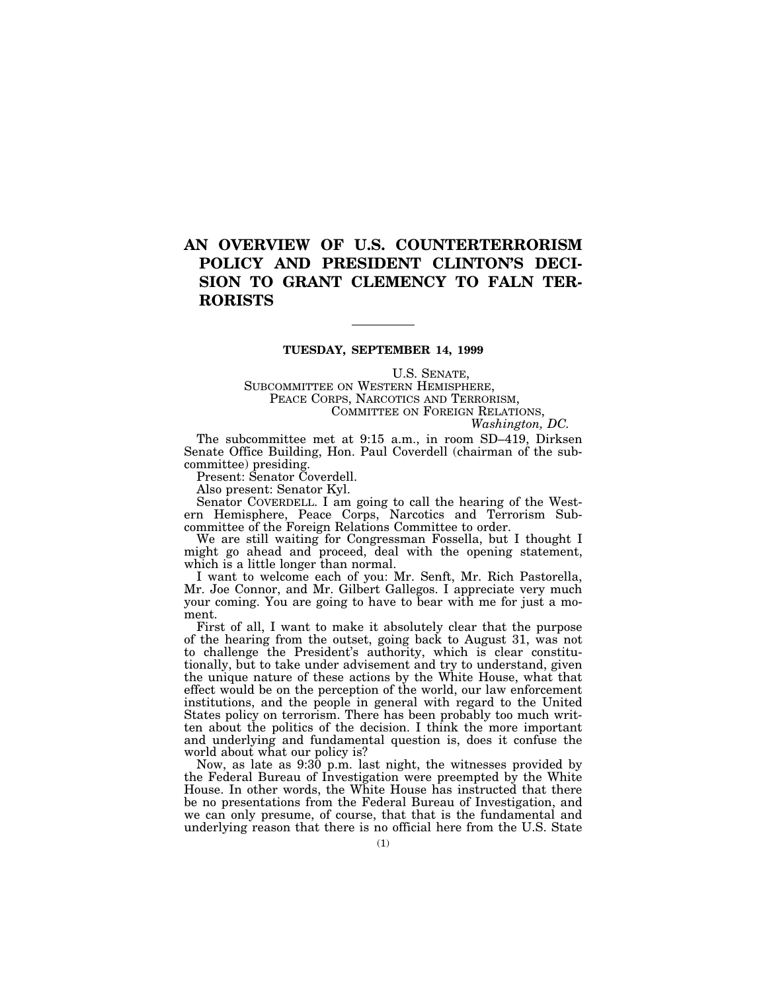# **AN OVERVIEW OF U.S. COUNTERTERRORISM POLICY AND PRESIDENT CLINTON'S DECI-SION TO GRANT CLEMENCY TO FALN TER-RORISTS**

### **TUESDAY, SEPTEMBER 14, 1999**

U.S. SENATE,

SUBCOMMITTEE ON WESTERN HEMISPHERE, PEACE CORPS, NARCOTICS AND TERRORISM, COMMITTEE ON FOREIGN RELATIONS, *Washington, DC.*

The subcommittee met at 9:15 a.m., in room SD–419, Dirksen Senate Office Building, Hon. Paul Coverdell (chairman of the subcommittee) presiding.

Present: Senator Coverdell.

Also present: Senator Kyl.

Senator COVERDELL. I am going to call the hearing of the Western Hemisphere, Peace Corps, Narcotics and Terrorism Subcommittee of the Foreign Relations Committee to order.

We are still waiting for Congressman Fossella, but I thought I might go ahead and proceed, deal with the opening statement, which is a little longer than normal.

I want to welcome each of you: Mr. Senft, Mr. Rich Pastorella, Mr. Joe Connor, and Mr. Gilbert Gallegos. I appreciate very much your coming. You are going to have to bear with me for just a moment.

First of all, I want to make it absolutely clear that the purpose of the hearing from the outset, going back to August 31, was not to challenge the President's authority, which is clear constitutionally, but to take under advisement and try to understand, given the unique nature of these actions by the White House, what that effect would be on the perception of the world, our law enforcement institutions, and the people in general with regard to the United States policy on terrorism. There has been probably too much written about the politics of the decision. I think the more important and underlying and fundamental question is, does it confuse the world about what our policy is?

Now, as late as 9:30 p.m. last night, the witnesses provided by the Federal Bureau of Investigation were preempted by the White House. In other words, the White House has instructed that there be no presentations from the Federal Bureau of Investigation, and we can only presume, of course, that that is the fundamental and underlying reason that there is no official here from the U.S. State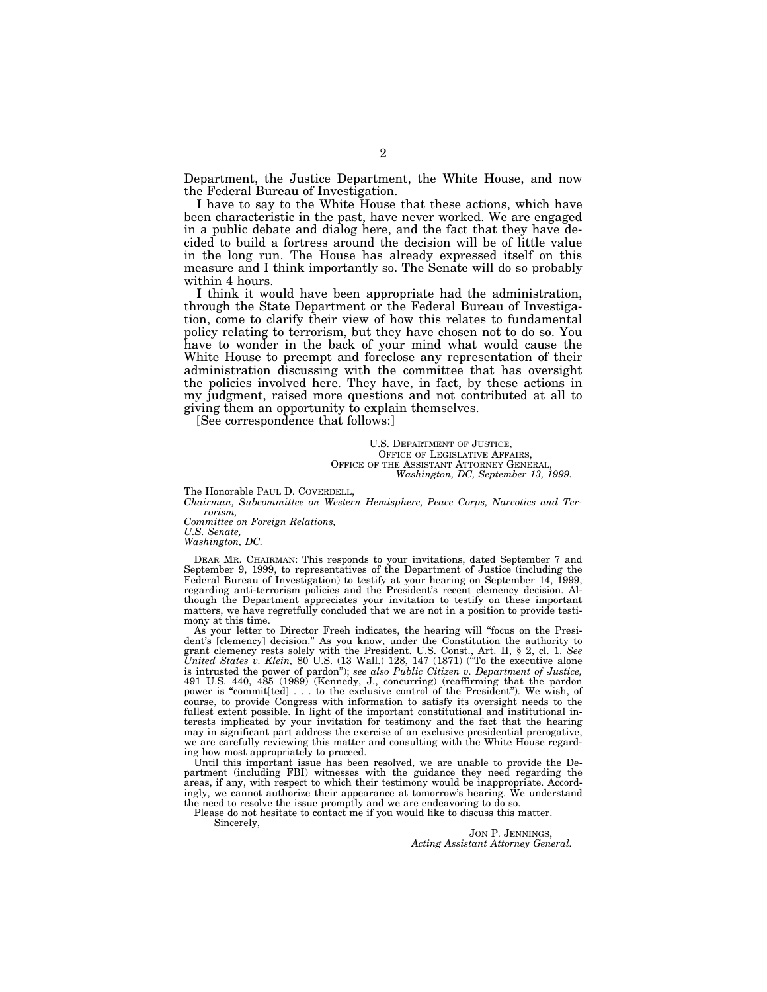Department, the Justice Department, the White House, and now the Federal Bureau of Investigation.

I have to say to the White House that these actions, which have been characteristic in the past, have never worked. We are engaged in a public debate and dialog here, and the fact that they have decided to build a fortress around the decision will be of little value in the long run. The House has already expressed itself on this measure and I think importantly so. The Senate will do so probably within 4 hours.

I think it would have been appropriate had the administration, through the State Department or the Federal Bureau of Investigation, come to clarify their view of how this relates to fundamental policy relating to terrorism, but they have chosen not to do so. You have to wonder in the back of your mind what would cause the White House to preempt and foreclose any representation of their administration discussing with the committee that has oversight the policies involved here. They have, in fact, by these actions in my judgment, raised more questions and not contributed at all to giving them an opportunity to explain themselves.

[See correspondence that follows:]

U.S. DEPARTMENT OF JUSTICE, OFFICE OF LEGISLATIVE AFFAIRS, OFFICE OF THE ASSISTANT ATTORNEY GENERAL, *Washington, DC, September 13, 1999.*

The Honorable PAUL D. COVERDELL,

*Chairman, Subcommittee on Western Hemisphere, Peace Corps, Narcotics and Terrorism,*

*Committee on Foreign Relations, U.S. Senate, Washington, DC.*

DEAR MR. CHAIRMAN: This responds to your invitations, dated September 7 and September 9, 1999, to representatives of the Department of Justice (including the Federal Bureau of Investigation) to testify at your hearing on September 14, 1999, regarding anti-terrorism policies and the President's recent clemency decision. Although the Department appreciates your invitation to testify on these important matters, we have regretfully concluded that we are not in a position to provide testimony at this time.

As your letter to Director Freeh indicates, the hearing will ''focus on the President's [clemency] decision.'' As you know, under the Constitution the authority to grant clemency rests solely with the President. U.S. Const., Art. II, § 2, cl. 1. *See United States v. Klein, 80 U.S.* (13 Wall.) 128, 147 (1871) ("To the executive alone is intrusted the power of pardon''); *see also Public Citizen v. Department of Justice,* 491 U.S. 440, 485 (1989) (Kennedy, J., concurring) (reaffirming that the pardon power is ''commit[ted] . . . to the exclusive control of the President''). We wish, of course, to provide Congress with information to satisfy its oversight needs to the fullest extent possible. In light of the important constitutional and institutional interests implicated by your invitation for testimony and the fact that the hearing may in significant part address the exercise of an exclusive presidential prerogative, we are carefully reviewing this matter and consulting with the White House regarding how most appropriately to proceed.

Until this important issue has been resolved, we are unable to provide the Department (including FBI) witnesses with the guidance they need regarding the areas, if any, with respect to which their testimony would be inappropriate. Accordingly, we cannot authorize their appearance at tomorrow's hearing. We understand the need to resolve the issue promptly and we are endeavoring to do so.

Please do not hesitate to contact me if you would like to discuss this matter.

Sincerely,

JON P. JENNINGS, *Acting Assistant Attorney General.*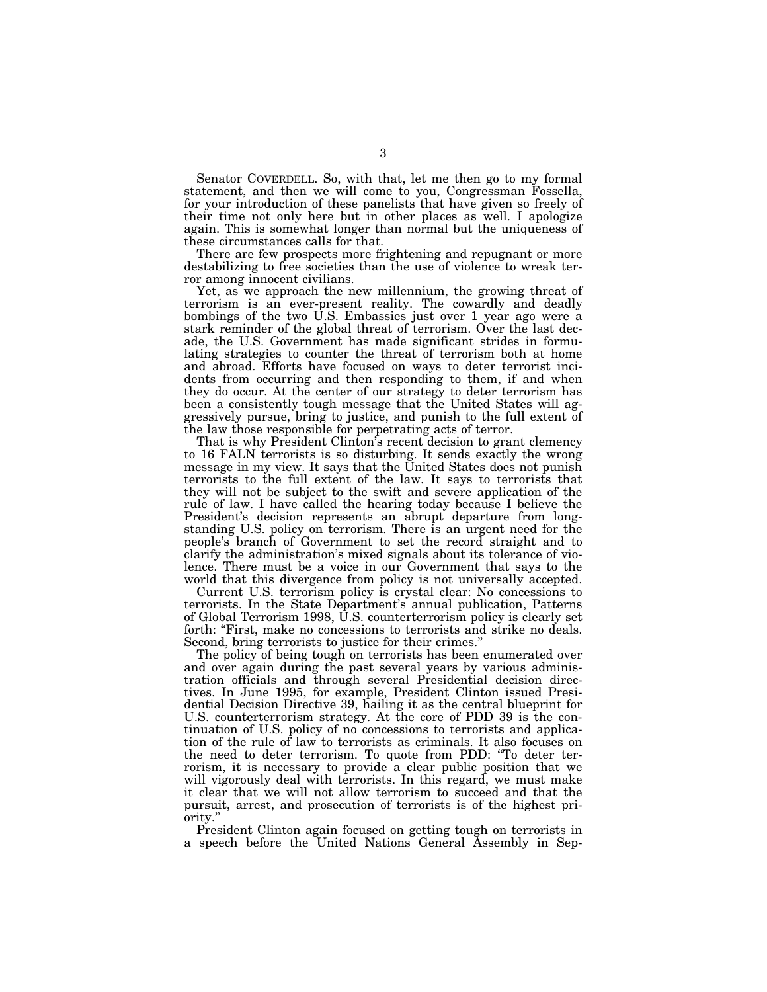Senator COVERDELL. So, with that, let me then go to my formal statement, and then we will come to you, Congressman Fossella, for your introduction of these panelists that have given so freely of their time not only here but in other places as well. I apologize again. This is somewhat longer than normal but the uniqueness of these circumstances calls for that.

There are few prospects more frightening and repugnant or more destabilizing to free societies than the use of violence to wreak terror among innocent civilians.

Yet, as we approach the new millennium, the growing threat of terrorism is an ever-present reality. The cowardly and deadly bombings of the two U.S. Embassies just over 1 year ago were a stark reminder of the global threat of terrorism. Over the last decade, the U.S. Government has made significant strides in formulating strategies to counter the threat of terrorism both at home and abroad. Efforts have focused on ways to deter terrorist incidents from occurring and then responding to them, if and when they do occur. At the center of our strategy to deter terrorism has been a consistently tough message that the United States will aggressively pursue, bring to justice, and punish to the full extent of the law those responsible for perpetrating acts of terror.

That is why President Clinton's recent decision to grant clemency to 16 FALN terrorists is so disturbing. It sends exactly the wrong message in my view. It says that the United States does not punish terrorists to the full extent of the law. It says to terrorists that they will not be subject to the swift and severe application of the rule of law. I have called the hearing today because I believe the President's decision represents an abrupt departure from longstanding U.S. policy on terrorism. There is an urgent need for the people's branch of Government to set the record straight and to clarify the administration's mixed signals about its tolerance of violence. There must be a voice in our Government that says to the world that this divergence from policy is not universally accepted.

Current U.S. terrorism policy is crystal clear: No concessions to terrorists. In the State Department's annual publication, Patterns of Global Terrorism 1998, U.S. counterterrorism policy is clearly set forth: "First, make no concessions to terrorists and strike no deals. Second, bring terrorists to justice for their crimes.''

The policy of being tough on terrorists has been enumerated over and over again during the past several years by various administration officials and through several Presidential decision directives. In June 1995, for example, President Clinton issued Presidential Decision Directive 39, hailing it as the central blueprint for U.S. counterterrorism strategy. At the core of PDD 39 is the continuation of U.S. policy of no concessions to terrorists and application of the rule of law to terrorists as criminals. It also focuses on the need to deter terrorism. To quote from PDD: ''To deter terrorism, it is necessary to provide a clear public position that we will vigorously deal with terrorists. In this regard, we must make it clear that we will not allow terrorism to succeed and that the pursuit, arrest, and prosecution of terrorists is of the highest priority.''

President Clinton again focused on getting tough on terrorists in a speech before the United Nations General Assembly in Sep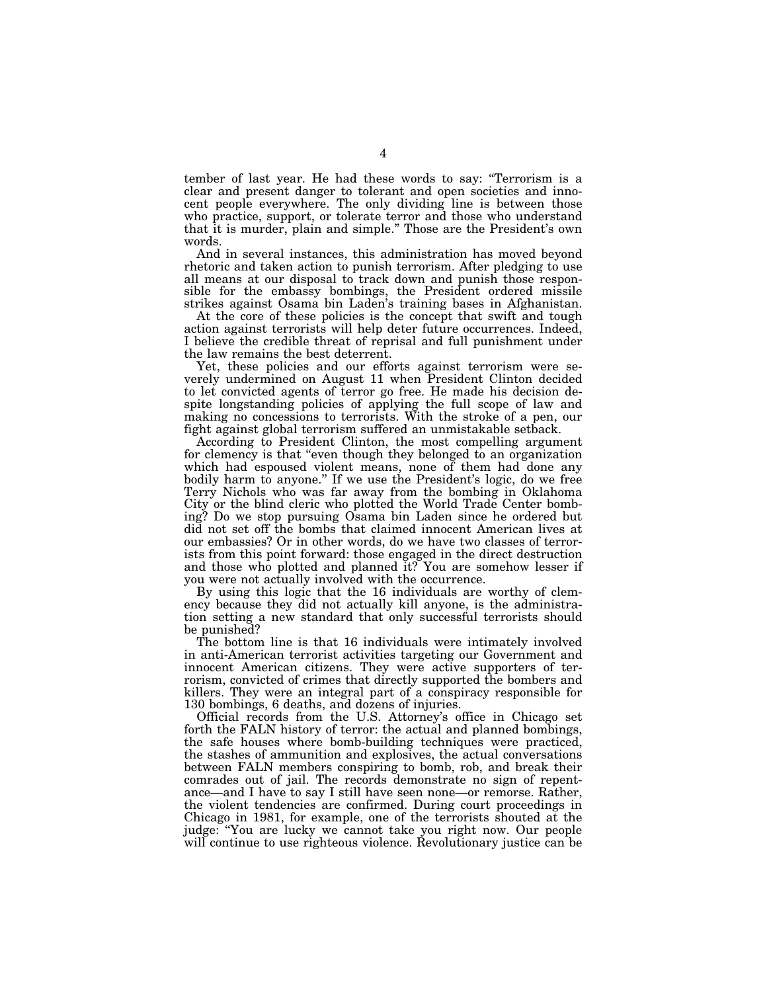tember of last year. He had these words to say: ''Terrorism is a clear and present danger to tolerant and open societies and innocent people everywhere. The only dividing line is between those who practice, support, or tolerate terror and those who understand that it is murder, plain and simple.'' Those are the President's own words.

And in several instances, this administration has moved beyond rhetoric and taken action to punish terrorism. After pledging to use all means at our disposal to track down and punish those responsible for the embassy bombings, the President ordered missile strikes against Osama bin Laden's training bases in Afghanistan.

At the core of these policies is the concept that swift and tough action against terrorists will help deter future occurrences. Indeed, I believe the credible threat of reprisal and full punishment under the law remains the best deterrent.

Yet, these policies and our efforts against terrorism were severely undermined on August 11 when President Clinton decided to let convicted agents of terror go free. He made his decision despite longstanding policies of applying the full scope of law and making no concessions to terrorists. With the stroke of a pen, our fight against global terrorism suffered an unmistakable setback.

According to President Clinton, the most compelling argument for clemency is that ''even though they belonged to an organization which had espoused violent means, none of them had done any bodily harm to anyone.'' If we use the President's logic, do we free Terry Nichols who was far away from the bombing in Oklahoma City or the blind cleric who plotted the World Trade Center bombing? Do we stop pursuing Osama bin Laden since he ordered but did not set off the bombs that claimed innocent American lives at our embassies? Or in other words, do we have two classes of terrorists from this point forward: those engaged in the direct destruction and those who plotted and planned it? You are somehow lesser if you were not actually involved with the occurrence.

By using this logic that the 16 individuals are worthy of clemency because they did not actually kill anyone, is the administration setting a new standard that only successful terrorists should be punished?

The bottom line is that 16 individuals were intimately involved in anti-American terrorist activities targeting our Government and innocent American citizens. They were active supporters of terrorism, convicted of crimes that directly supported the bombers and killers. They were an integral part of a conspiracy responsible for 130 bombings, 6 deaths, and dozens of injuries.

Official records from the U.S. Attorney's office in Chicago set forth the FALN history of terror: the actual and planned bombings, the safe houses where bomb-building techniques were practiced, the stashes of ammunition and explosives, the actual conversations between FALN members conspiring to bomb, rob, and break their comrades out of jail. The records demonstrate no sign of repentance—and I have to say I still have seen none—or remorse. Rather, the violent tendencies are confirmed. During court proceedings in Chicago in 1981, for example, one of the terrorists shouted at the judge: ''You are lucky we cannot take you right now. Our people will continue to use righteous violence. Revolutionary justice can be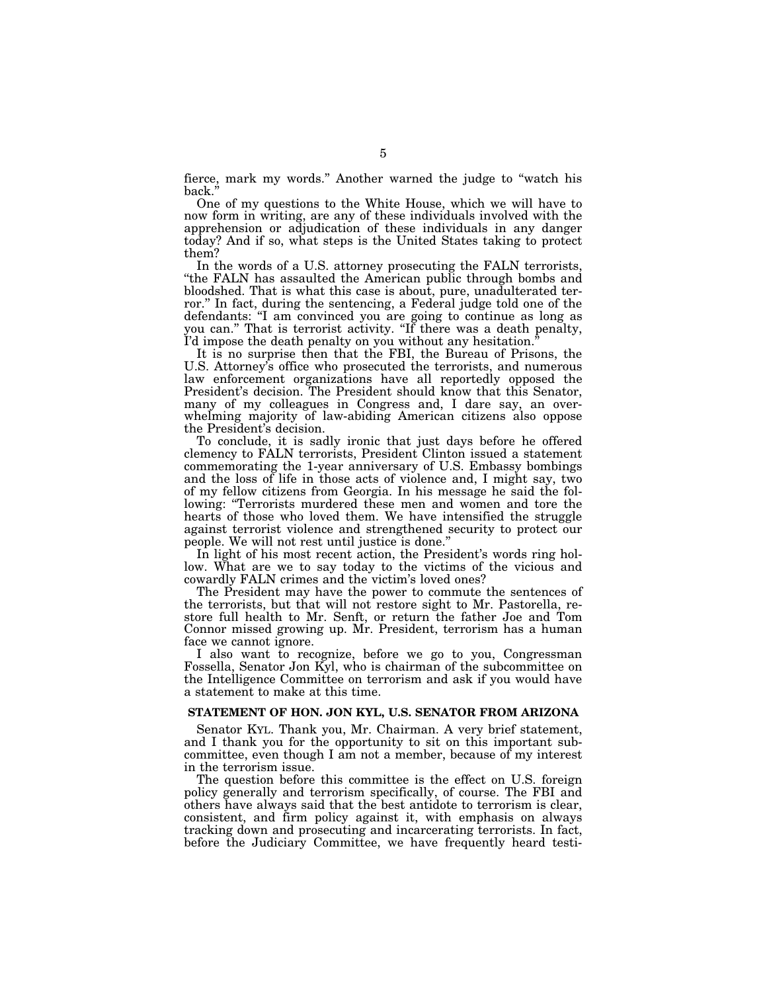fierce, mark my words.'' Another warned the judge to ''watch his back.

One of my questions to the White House, which we will have to now form in writing, are any of these individuals involved with the apprehension or adjudication of these individuals in any danger today? And if so, what steps is the United States taking to protect them?

In the words of a U.S. attorney prosecuting the FALN terrorists, ''the FALN has assaulted the American public through bombs and bloodshed. That is what this case is about, pure, unadulterated terror.'' In fact, during the sentencing, a Federal judge told one of the defendants: ''I am convinced you are going to continue as long as you can.'' That is terrorist activity. ''If there was a death penalty, I'd impose the death penalty on you without any hesitation.''

It is no surprise then that the FBI, the Bureau of Prisons, the U.S. Attorney's office who prosecuted the terrorists, and numerous law enforcement organizations have all reportedly opposed the President's decision. The President should know that this Senator, many of my colleagues in Congress and, I dare say, an overwhelming majority of law-abiding American citizens also oppose the President's decision.

To conclude, it is sadly ironic that just days before he offered clemency to FALN terrorists, President Clinton issued a statement commemorating the 1-year anniversary of U.S. Embassy bombings and the loss of life in those acts of violence and, I might say, two of my fellow citizens from Georgia. In his message he said the following: "Terrorists murdered these men and women and tore the hearts of those who loved them. We have intensified the struggle against terrorist violence and strengthened security to protect our people. We will not rest until justice is done.''

In light of his most recent action, the President's words ring hollow. What are we to say today to the victims of the vicious and cowardly FALN crimes and the victim's loved ones?

The President may have the power to commute the sentences of the terrorists, but that will not restore sight to Mr. Pastorella, restore full health to Mr. Senft, or return the father Joe and Tom Connor missed growing up. Mr. President, terrorism has a human face we cannot ignore.

I also want to recognize, before we go to you, Congressman Fossella, Senator Jon Kyl, who is chairman of the subcommittee on the Intelligence Committee on terrorism and ask if you would have a statement to make at this time.

## **STATEMENT OF HON. JON KYL, U.S. SENATOR FROM ARIZONA**

Senator KYL. Thank you, Mr. Chairman. A very brief statement, and I thank you for the opportunity to sit on this important subcommittee, even though I am not a member, because of my interest in the terrorism issue.

The question before this committee is the effect on U.S. foreign policy generally and terrorism specifically, of course. The FBI and others have always said that the best antidote to terrorism is clear, consistent, and firm policy against it, with emphasis on always tracking down and prosecuting and incarcerating terrorists. In fact, before the Judiciary Committee, we have frequently heard testi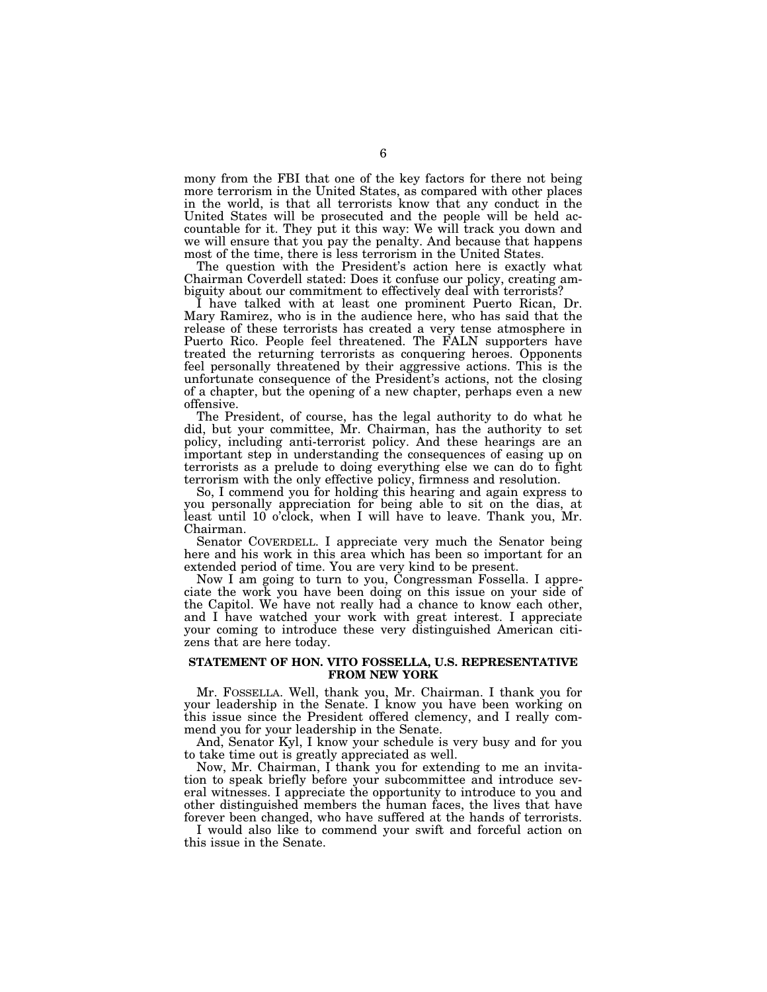mony from the FBI that one of the key factors for there not being more terrorism in the United States, as compared with other places in the world, is that all terrorists know that any conduct in the United States will be prosecuted and the people will be held accountable for it. They put it this way: We will track you down and we will ensure that you pay the penalty. And because that happens most of the time, there is less terrorism in the United States.

The question with the President's action here is exactly what Chairman Coverdell stated: Does it confuse our policy, creating ambiguity about our commitment to effectively deal with terrorists?

I have talked with at least one prominent Puerto Rican, Dr. Mary Ramirez, who is in the audience here, who has said that the release of these terrorists has created a very tense atmosphere in Puerto Rico. People feel threatened. The FALN supporters have treated the returning terrorists as conquering heroes. Opponents feel personally threatened by their aggressive actions. This is the unfortunate consequence of the President's actions, not the closing of a chapter, but the opening of a new chapter, perhaps even a new offensive.

The President, of course, has the legal authority to do what he did, but your committee, Mr. Chairman, has the authority to set policy, including anti-terrorist policy. And these hearings are an important step in understanding the consequences of easing up on terrorists as a prelude to doing everything else we can do to fight terrorism with the only effective policy, firmness and resolution.

So, I commend you for holding this hearing and again express to you personally appreciation for being able to sit on the dias, at least until 10 o'clock, when I will have to leave. Thank you, Mr. Chairman.

Senator COVERDELL. I appreciate very much the Senator being here and his work in this area which has been so important for an extended period of time. You are very kind to be present.

Now I am going to turn to you, Congressman Fossella. I appreciate the work you have been doing on this issue on your side of the Capitol. We have not really had a chance to know each other, and I have watched your work with great interest. I appreciate your coming to introduce these very distinguished American citizens that are here today.

### **STATEMENT OF HON. VITO FOSSELLA, U.S. REPRESENTATIVE FROM NEW YORK**

Mr. FOSSELLA. Well, thank you, Mr. Chairman. I thank you for your leadership in the Senate. I know you have been working on this issue since the President offered clemency, and I really commend you for your leadership in the Senate.

And, Senator Kyl, I know your schedule is very busy and for you to take time out is greatly appreciated as well.

Now, Mr. Chairman, I thank you for extending to me an invitation to speak briefly before your subcommittee and introduce several witnesses. I appreciate the opportunity to introduce to you and other distinguished members the human faces, the lives that have forever been changed, who have suffered at the hands of terrorists.

I would also like to commend your swift and forceful action on this issue in the Senate.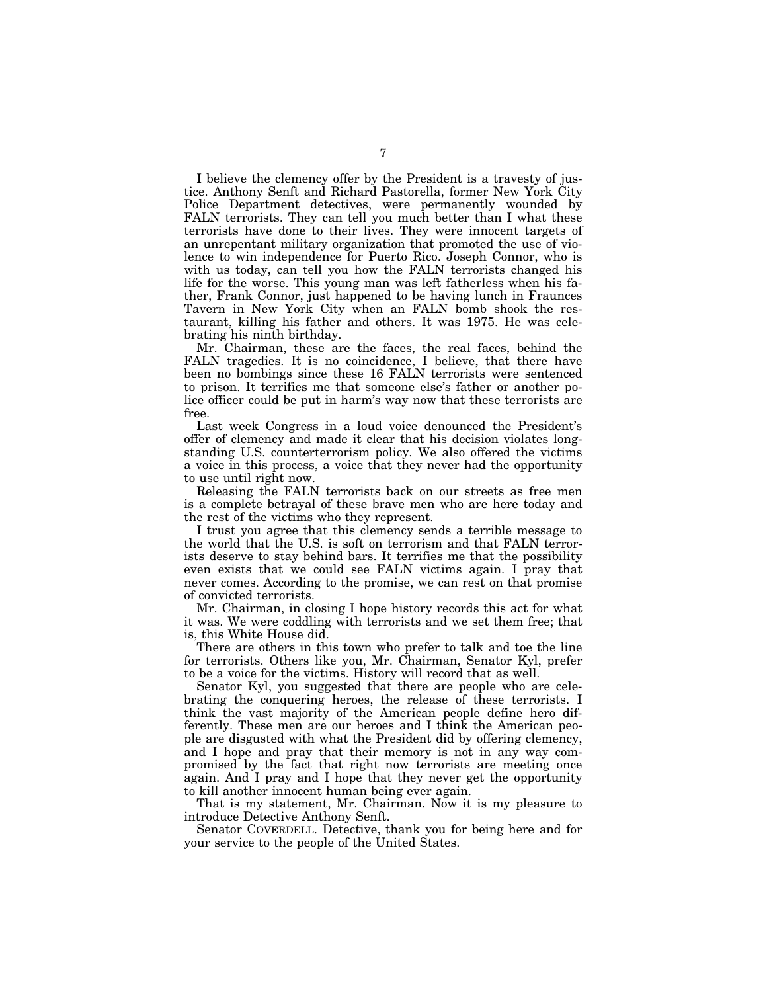I believe the clemency offer by the President is a travesty of justice. Anthony Senft and Richard Pastorella, former New York City Police Department detectives, were permanently wounded by FALN terrorists. They can tell you much better than I what these terrorists have done to their lives. They were innocent targets of an unrepentant military organization that promoted the use of violence to win independence for Puerto Rico. Joseph Connor, who is with us today, can tell you how the FALN terrorists changed his life for the worse. This young man was left fatherless when his father, Frank Connor, just happened to be having lunch in Fraunces Tavern in New York City when an FALN bomb shook the restaurant, killing his father and others. It was 1975. He was celebrating his ninth birthday.

Mr. Chairman, these are the faces, the real faces, behind the FALN tragedies. It is no coincidence, I believe, that there have been no bombings since these 16 FALN terrorists were sentenced to prison. It terrifies me that someone else's father or another police officer could be put in harm's way now that these terrorists are free.

Last week Congress in a loud voice denounced the President's offer of clemency and made it clear that his decision violates longstanding U.S. counterterrorism policy. We also offered the victims a voice in this process, a voice that they never had the opportunity to use until right now.

Releasing the FALN terrorists back on our streets as free men is a complete betrayal of these brave men who are here today and the rest of the victims who they represent.

I trust you agree that this clemency sends a terrible message to the world that the U.S. is soft on terrorism and that FALN terrorists deserve to stay behind bars. It terrifies me that the possibility even exists that we could see FALN victims again. I pray that never comes. According to the promise, we can rest on that promise of convicted terrorists.

Mr. Chairman, in closing I hope history records this act for what it was. We were coddling with terrorists and we set them free; that is, this White House did.

There are others in this town who prefer to talk and toe the line for terrorists. Others like you, Mr. Chairman, Senator Kyl, prefer to be a voice for the victims. History will record that as well.

Senator Kyl, you suggested that there are people who are celebrating the conquering heroes, the release of these terrorists. I think the vast majority of the American people define hero differently. These men are our heroes and I think the American people are disgusted with what the President did by offering clemency, and I hope and pray that their memory is not in any way compromised by the fact that right now terrorists are meeting once again. And I pray and I hope that they never get the opportunity to kill another innocent human being ever again.

That is my statement, Mr. Chairman. Now it is my pleasure to introduce Detective Anthony Senft.

Senator COVERDELL. Detective, thank you for being here and for your service to the people of the United States.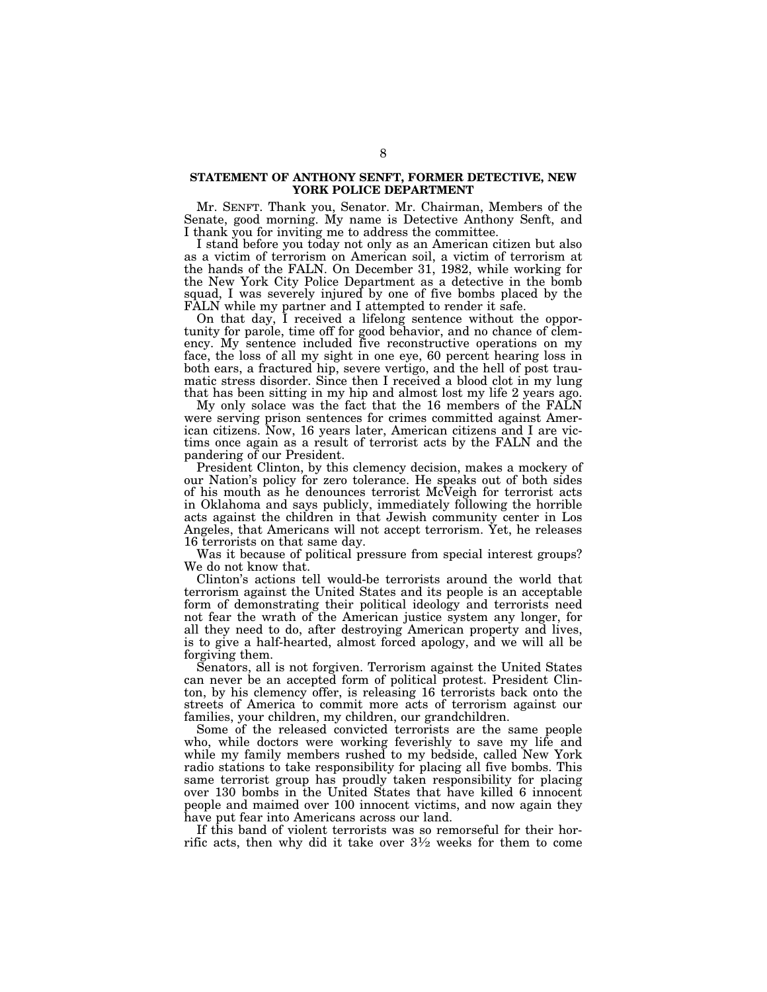## **STATEMENT OF ANTHONY SENFT, FORMER DETECTIVE, NEW YORK POLICE DEPARTMENT**

Mr. SENFT. Thank you, Senator. Mr. Chairman, Members of the Senate, good morning. My name is Detective Anthony Senft, and I thank you for inviting me to address the committee.

I stand before you today not only as an American citizen but also as a victim of terrorism on American soil, a victim of terrorism at the hands of the FALN. On December 31, 1982, while working for the New York City Police Department as a detective in the bomb squad, I was severely injured by one of five bombs placed by the FALN while my partner and I attempted to render it safe.

On that day, I received a lifelong sentence without the opportunity for parole, time off for good behavior, and no chance of clemency. My sentence included five reconstructive operations on my face, the loss of all my sight in one eye, 60 percent hearing loss in both ears, a fractured hip, severe vertigo, and the hell of post traumatic stress disorder. Since then I received a blood clot in my lung that has been sitting in my hip and almost lost my life 2 years ago.

My only solace was the fact that the 16 members of the FALN were serving prison sentences for crimes committed against American citizens. Now, 16 years later, American citizens and I are victims once again as a result of terrorist acts by the FALN and the pandering of our President.

President Clinton, by this clemency decision, makes a mockery of our Nation's policy for zero tolerance. He speaks out of both sides of his mouth as he denounces terrorist McVeigh for terrorist acts in Oklahoma and says publicly, immediately following the horrible acts against the children in that Jewish community center in Los Angeles, that Americans will not accept terrorism. Yet, he releases 16 terrorists on that same day.

Was it because of political pressure from special interest groups? We do not know that.

Clinton's actions tell would-be terrorists around the world that terrorism against the United States and its people is an acceptable form of demonstrating their political ideology and terrorists need not fear the wrath of the American justice system any longer, for all they need to do, after destroying American property and lives, is to give a half-hearted, almost forced apology, and we will all be forgiving them.

Senators, all is not forgiven. Terrorism against the United States can never be an accepted form of political protest. President Clinton, by his clemency offer, is releasing 16 terrorists back onto the streets of America to commit more acts of terrorism against our families, your children, my children, our grandchildren.

Some of the released convicted terrorists are the same people who, while doctors were working feverishly to save my life and while my family members rushed to my bedside, called New York radio stations to take responsibility for placing all five bombs. This same terrorist group has proudly taken responsibility for placing over 130 bombs in the United States that have killed 6 innocent people and maimed over 100 innocent victims, and now again they have put fear into Americans across our land.

If this band of violent terrorists was so remorseful for their horrific acts, then why did it take over  $3\frac{1}{2}$  weeks for them to come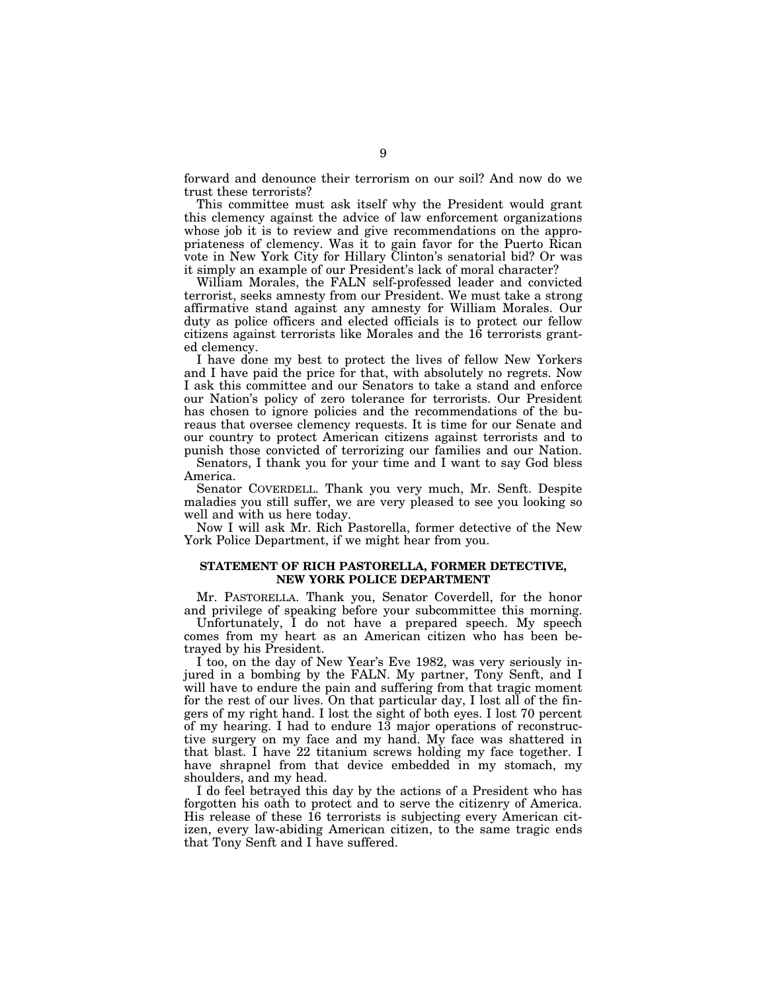forward and denounce their terrorism on our soil? And now do we trust these terrorists?

This committee must ask itself why the President would grant this clemency against the advice of law enforcement organizations whose job it is to review and give recommendations on the appropriateness of clemency. Was it to gain favor for the Puerto Rican vote in New York City for Hillary Clinton's senatorial bid? Or was it simply an example of our President's lack of moral character?

William Morales, the FALN self-professed leader and convicted terrorist, seeks amnesty from our President. We must take a strong affirmative stand against any amnesty for William Morales. Our duty as police officers and elected officials is to protect our fellow citizens against terrorists like Morales and the 16 terrorists granted clemency.

I have done my best to protect the lives of fellow New Yorkers and I have paid the price for that, with absolutely no regrets. Now I ask this committee and our Senators to take a stand and enforce our Nation's policy of zero tolerance for terrorists. Our President has chosen to ignore policies and the recommendations of the bureaus that oversee clemency requests. It is time for our Senate and our country to protect American citizens against terrorists and to punish those convicted of terrorizing our families and our Nation.

Senators, I thank you for your time and I want to say God bless America.

Senator COVERDELL. Thank you very much, Mr. Senft. Despite maladies you still suffer, we are very pleased to see you looking so well and with us here today.

Now I will ask Mr. Rich Pastorella, former detective of the New York Police Department, if we might hear from you.

# **STATEMENT OF RICH PASTORELLA, FORMER DETECTIVE, NEW YORK POLICE DEPARTMENT**

Mr. PASTORELLA. Thank you, Senator Coverdell, for the honor and privilege of speaking before your subcommittee this morning.

Unfortunately, I do not have a prepared speech. My speech comes from my heart as an American citizen who has been betrayed by his President.

I too, on the day of New Year's Eve 1982, was very seriously injured in a bombing by the FALN. My partner, Tony Senft, and I will have to endure the pain and suffering from that tragic moment for the rest of our lives. On that particular day, I lost all of the fingers of my right hand. I lost the sight of both eyes. I lost 70 percent of my hearing. I had to endure 13 major operations of reconstructive surgery on my face and my hand. My face was shattered in that blast. I have 22 titanium screws holding my face together. I have shrapnel from that device embedded in my stomach, my shoulders, and my head.

I do feel betrayed this day by the actions of a President who has forgotten his oath to protect and to serve the citizenry of America. His release of these 16 terrorists is subjecting every American citizen, every law-abiding American citizen, to the same tragic ends that Tony Senft and I have suffered.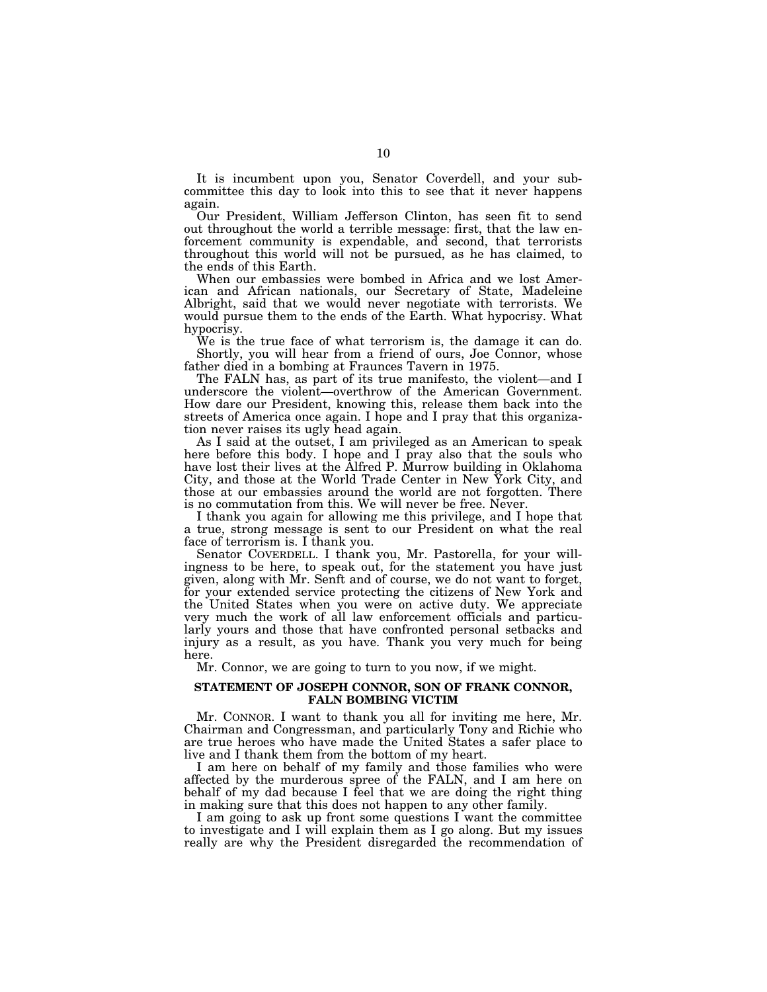It is incumbent upon you, Senator Coverdell, and your subcommittee this day to look into this to see that it never happens again.

Our President, William Jefferson Clinton, has seen fit to send out throughout the world a terrible message: first, that the law enforcement community is expendable, and second, that terrorists throughout this world will not be pursued, as he has claimed, to the ends of this Earth.

When our embassies were bombed in Africa and we lost American and African nationals, our Secretary of State, Madeleine Albright, said that we would never negotiate with terrorists. We would pursue them to the ends of the Earth. What hypocrisy. What hypocrisy.

We is the true face of what terrorism is, the damage it can do. Shortly, you will hear from a friend of ours, Joe Connor, whose father died in a bombing at Fraunces Tavern in 1975.

The FALN has, as part of its true manifesto, the violent—and I underscore the violent—overthrow of the American Government. How dare our President, knowing this, release them back into the streets of America once again. I hope and I pray that this organization never raises its ugly head again.

As I said at the outset, I am privileged as an American to speak here before this body. I hope and I pray also that the souls who have lost their lives at the Alfred P. Murrow building in Oklahoma City, and those at the World Trade Center in New York City, and those at our embassies around the world are not forgotten. There is no commutation from this. We will never be free. Never.

I thank you again for allowing me this privilege, and I hope that a true, strong message is sent to our President on what the real face of terrorism is. I thank you.

Senator COVERDELL. I thank you, Mr. Pastorella, for your willingness to be here, to speak out, for the statement you have just given, along with Mr. Senft and of course, we do not want to forget, for your extended service protecting the citizens of New York and the United States when you were on active duty. We appreciate very much the work of all law enforcement officials and particularly yours and those that have confronted personal setbacks and injury as a result, as you have. Thank you very much for being here.

Mr. Connor, we are going to turn to you now, if we might.

### **STATEMENT OF JOSEPH CONNOR, SON OF FRANK CONNOR, FALN BOMBING VICTIM**

Mr. CONNOR. I want to thank you all for inviting me here, Mr. Chairman and Congressman, and particularly Tony and Richie who are true heroes who have made the United States a safer place to live and I thank them from the bottom of my heart.

I am here on behalf of my family and those families who were affected by the murderous spree of the FALN, and I am here on behalf of my dad because I feel that we are doing the right thing in making sure that this does not happen to any other family.

I am going to ask up front some questions I want the committee to investigate and I will explain them as I go along. But my issues really are why the President disregarded the recommendation of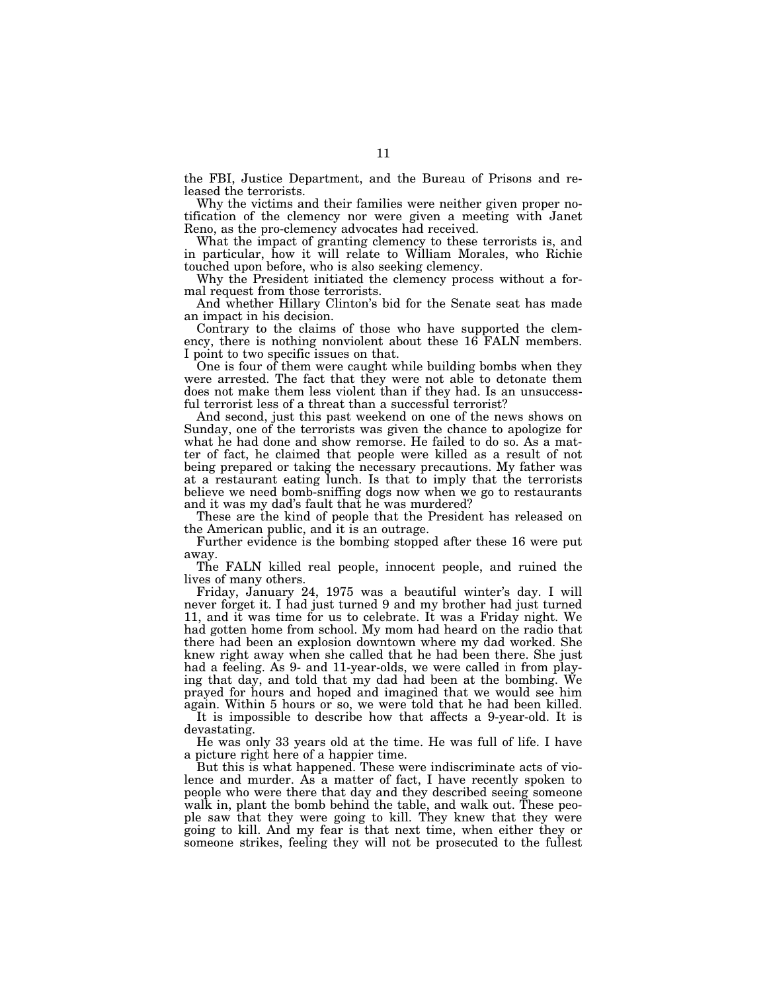the FBI, Justice Department, and the Bureau of Prisons and released the terrorists.

Why the victims and their families were neither given proper notification of the clemency nor were given a meeting with Janet Reno, as the pro-clemency advocates had received.

What the impact of granting clemency to these terrorists is, and in particular, how it will relate to William Morales, who Richie touched upon before, who is also seeking clemency.

Why the President initiated the clemency process without a formal request from those terrorists.

And whether Hillary Clinton's bid for the Senate seat has made an impact in his decision.

Contrary to the claims of those who have supported the clemency, there is nothing nonviolent about these 16 FALN members. I point to two specific issues on that.

One is four of them were caught while building bombs when they were arrested. The fact that they were not able to detonate them does not make them less violent than if they had. Is an unsuccessful terrorist less of a threat than a successful terrorist?

And second, just this past weekend on one of the news shows on Sunday, one of the terrorists was given the chance to apologize for what he had done and show remorse. He failed to do so. As a matter of fact, he claimed that people were killed as a result of not being prepared or taking the necessary precautions. My father was at a restaurant eating lunch. Is that to imply that the terrorists believe we need bomb-sniffing dogs now when we go to restaurants and it was my dad's fault that he was murdered?

These are the kind of people that the President has released on the American public, and it is an outrage.

Further evidence is the bombing stopped after these 16 were put away.

The FALN killed real people, innocent people, and ruined the lives of many others.

Friday, January 24, 1975 was a beautiful winter's day. I will never forget it. I had just turned 9 and my brother had just turned 11, and it was time for us to celebrate. It was a Friday night. We had gotten home from school. My mom had heard on the radio that there had been an explosion downtown where my dad worked. She knew right away when she called that he had been there. She just had a feeling. As 9- and 11-year-olds, we were called in from playing that day, and told that my dad had been at the bombing. We prayed for hours and hoped and imagined that we would see him again. Within 5 hours or so, we were told that he had been killed.

It is impossible to describe how that affects a 9-year-old. It is devastating.

He was only 33 years old at the time. He was full of life. I have a picture right here of a happier time.

But this is what happened. These were indiscriminate acts of violence and murder. As a matter of fact, I have recently spoken to people who were there that day and they described seeing someone walk in, plant the bomb behind the table, and walk out. These people saw that they were going to kill. They knew that they were going to kill. And my fear is that next time, when either they or someone strikes, feeling they will not be prosecuted to the fullest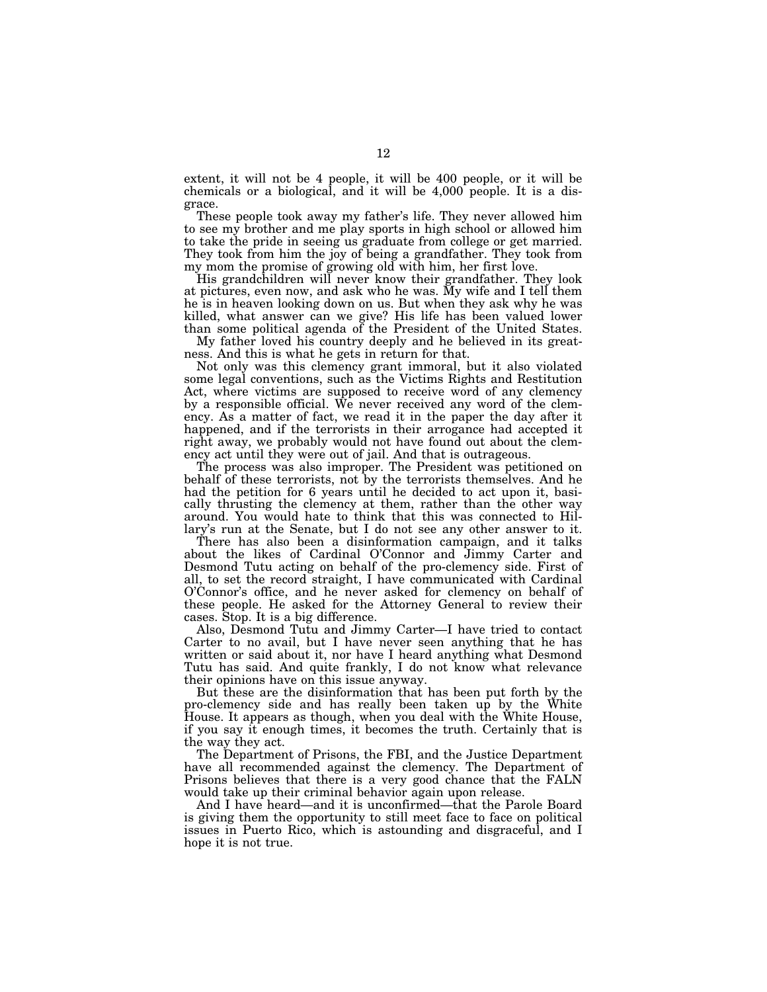extent, it will not be 4 people, it will be 400 people, or it will be chemicals or a biological, and it will be 4,000 people. It is a disgrace.

These people took away my father's life. They never allowed him to see my brother and me play sports in high school or allowed him to take the pride in seeing us graduate from college or get married. They took from him the joy of being a grandfather. They took from my mom the promise of growing old with him, her first love.

His grandchildren will never know their grandfather. They look at pictures, even now, and ask who he was. My wife and I tell them he is in heaven looking down on us. But when they ask why he was killed, what answer can we give? His life has been valued lower than some political agenda of the President of the United States.

My father loved his country deeply and he believed in its greatness. And this is what he gets in return for that.

Not only was this clemency grant immoral, but it also violated some legal conventions, such as the Victims Rights and Restitution Act, where victims are supposed to receive word of any clemency by a responsible official. We never received any word of the clemency. As a matter of fact, we read it in the paper the day after it happened, and if the terrorists in their arrogance had accepted it right away, we probably would not have found out about the clemency act until they were out of jail. And that is outrageous.

The process was also improper. The President was petitioned on behalf of these terrorists, not by the terrorists themselves. And he had the petition for 6 years until he decided to act upon it, basically thrusting the clemency at them, rather than the other way around. You would hate to think that this was connected to Hillary's run at the Senate, but I do not see any other answer to it.

There has also been a disinformation campaign, and it talks about the likes of Cardinal O'Connor and Jimmy Carter and Desmond Tutu acting on behalf of the pro-clemency side. First of all, to set the record straight, I have communicated with Cardinal O'Connor's office, and he never asked for clemency on behalf of these people. He asked for the Attorney General to review their cases. Stop. It is a big difference.

Also, Desmond Tutu and Jimmy Carter—I have tried to contact Carter to no avail, but I have never seen anything that he has written or said about it, nor have I heard anything what Desmond Tutu has said. And quite frankly, I do not know what relevance their opinions have on this issue anyway.

But these are the disinformation that has been put forth by the pro-clemency side and has really been taken up by the White House. It appears as though, when you deal with the White House, if you say it enough times, it becomes the truth. Certainly that is the way they act.

The Department of Prisons, the FBI, and the Justice Department have all recommended against the clemency. The Department of Prisons believes that there is a very good chance that the FALN would take up their criminal behavior again upon release.

And I have heard—and it is unconfirmed—that the Parole Board is giving them the opportunity to still meet face to face on political issues in Puerto Rico, which is astounding and disgraceful, and I hope it is not true.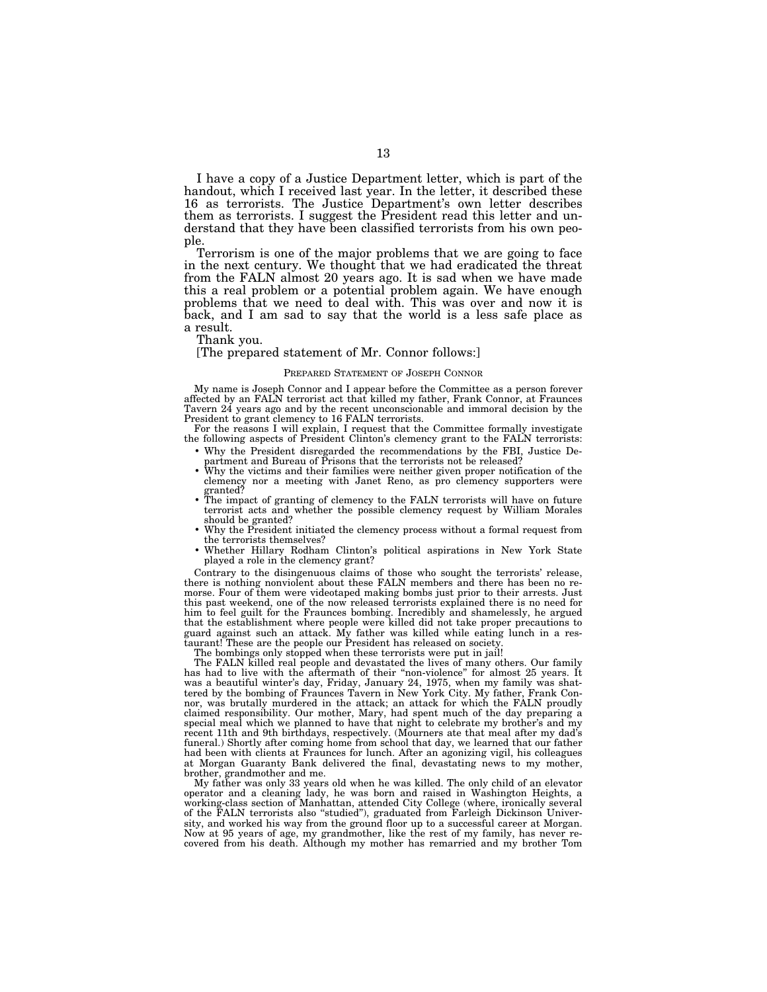I have a copy of a Justice Department letter, which is part of the handout, which I received last year. In the letter, it described these 16 as terrorists. The Justice Department's own letter describes them as terrorists. I suggest the President read this letter and understand that they have been classified terrorists from his own people.

Terrorism is one of the major problems that we are going to face in the next century. We thought that we had eradicated the threat from the FALN almost 20 years ago. It is sad when we have made this a real problem or a potential problem again. We have enough problems that we need to deal with. This was over and now it is back, and I am sad to say that the world is a less safe place as a result.

Thank you.

### [The prepared statement of Mr. Connor follows:]

#### PREPARED STATEMENT OF JOSEPH CONNOR

My name is Joseph Connor and I appear before the Committee as a person forever affected by an FALN terrorist act that killed my father, Frank Connor, at Fraunces Tavern 24 years ago and by the recent unconscionable and immoral decision by the President to grant clemency to 16 FALN terrorists.

For the reasons I will explain, I request that the Committee formally investigate the following aspects of President Clinton's clemency grant to the FALN terrorists:

- Why the President disregarded the recommendations by the FBI, Justice Department and Bureau of Prisons that the terrorists not be released?<br>• Why the victims and their families were neither given proper notification of t
- Why the victims and their families were neither given proper notification of the clemency nor a meeting with Janet Reno, as pro clemency supporters were
- granted?<br>• The impact of granting of clemency to the FALN terrorists will have on future terrorist acts and whether the possible clemency request by William Morales<br>should be granted?
- Why the President initiated the clemency process without a formal request from the terrorists themselves?
- Whether Hillary Rodham Clinton's political aspirations in New York State played a role in the clemency grant?

Contrary to the disingenuous claims of those who sought the terrorists' release, there is nothing nonviolent about these FALN members and there has been no remorse. Four of them were videotaped making bombs just prior to their arrests. Just this past weekend, one of the now released terrorists explained there is no need for him to feel guilt for the Fraunces bombing. Incredibly and shamelessly, he argued that the establishment where people were killed did not take proper precautions to guard against such an attack. My father was killed while eating lunch in a restaurant! These are the people our President has released on society.

The bombings only stopped when these terrorists were put in jail!

The FALN killed real people and devastated the lives of many others. Our family has had to live with the aftermath of their ''non-violence'' for almost 25 years. It was a beautiful winter's day, Friday, January 24, 1975, when my family was shattered by the bombing of Fraunces Tavern in New York City. My father, Frank Connor, was brutally murdered in the attack; an attack for which the FALN proudly claimed responsibility. Our mother, Mary, had spent much of the day preparing a special meal which we planned to have that night to celebrate my brother's and my recent 11th and 9th birthdays, respectively. (Mourners ate that meal after my dad's funeral.) Shortly after coming home from school that day, we learned that our father had been with clients at Fraunces for lunch. After an agonizing vigil, his colleagues at Morgan Guaranty Bank delivered the final, devastating news to my mother, brother, grandmother and me.

My father was only 33 years old when he was killed. The only child of an elevator operator and a cleaning lady, he was born and raised in Washington Heights, a working-class section of Manhattan, attended City College (where, ironically several of the FALN terrorists also "studied"), graduated from Farleigh Dickinson University, and worked his way from the ground floor up to a successful career at Morgan. Now at 95 years of age, my grandmother, like the rest of my family, has never re-covered from his death. Although my mother has remarried and my brother Tom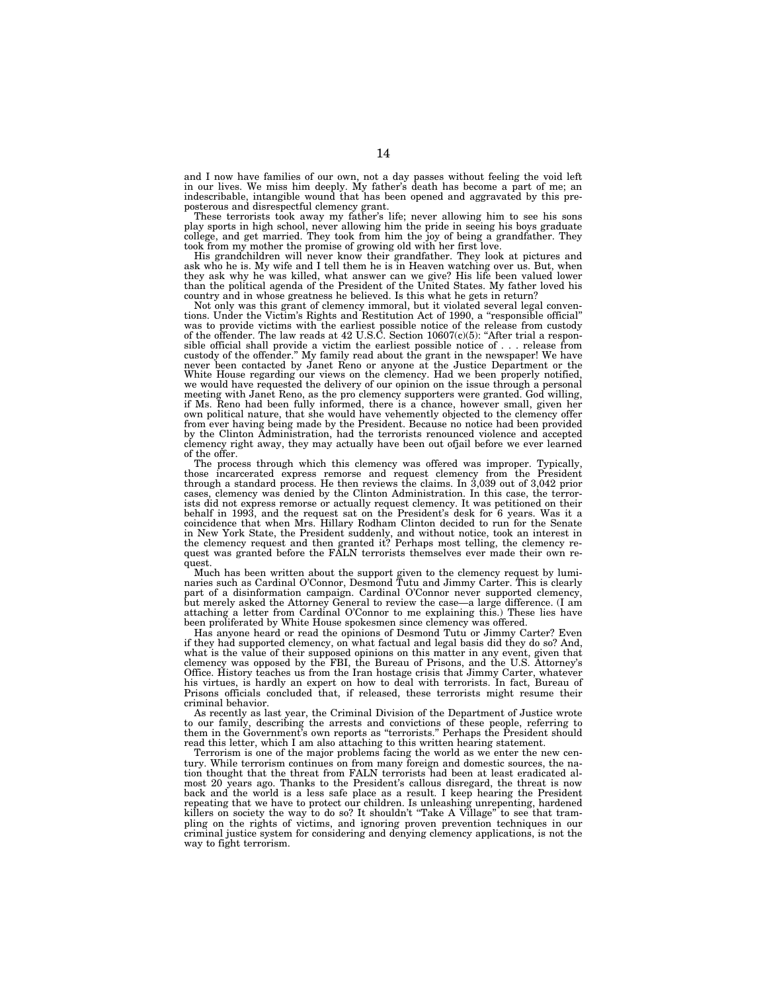and I now have families of our own, not a day passes without feeling the void left in our lives. We miss him deeply. My father's death has become a part of me; an indescribable, intangible wound that has been opened and aggravated by this preposterous and disrespectful clemency grant. These terrorists took away my father's life; never allowing him to see his sons

play sports in high school, never allowing him the pride in seeing his boys graduate college, and get married. They took from him the joy of being a grandfather. They

took from my mother the promise of growing old with her first love. His grandchildren will never know their grandfather. They look at pictures and ask who he is. My wife and I tell them he is in Heaven watching over us. But, when they ask why he was killed, what answer can we give? His life been valued lower than the political agenda of the President of the United States. My father loved his country and in whose greatness he believed. Is this what he gets in return?

Not only was this grant of clemency immoral, but it violated several legal conven-tions. Under the Victim's Rights and Restitution Act of 1990, a ''responsible official'' was to provide victims with the earliest possible notice of the release from custody of the offender. The law reads at 42 U.S.C. Section 10607(c)(5): "After trial a responsible official shall provide a victim the earliest possible notice of . . . release from custody of the offender.'' My family read about the grant in the newspaper! We have never been contacted by Janet Reno or anyone at the Justice Department or the White House regarding our views on the clemency. Had we been properly notified, we would have requested the delivery of our opinion on the issue through a personal meeting with Janet Reno, as the pro clemency supporters were granted. God willing, if Ms. Reno had been fully informed, there is a chance, however small, given her own political nature, that she would have vehemently objected to the clemency offer from ever having being made by the President. Because no notice had been provided by the Clinton Administration, had the terrorists renounced violence and accepted clemency right away, they may actually have been out ofjail before we ever learned of the offer.

The process through which this clemency was offered was improper. Typically, those incarcerated express remorse and request clemency from the President through a standard process. He then reviews the claims. In 3,039 out of 3,042 prior cases, clemency was denied by the Clinton Administration. In this case, the terrorists did not express remorse or actually request clemency. It was petitioned on their behalf in 1993, and the request sat on the President's desk for 6 years. Was it a coincidence that when Mrs. Hillary Rodham Clinton decided to run for the Senate<br>in New York State, the President suddenly, and without notice, took an interest in<br>the clemency request and then granted it? Perhaps most tell quest.

Much has been written about the support given to the clemency request by luminaries such as Cardinal O'Connor, Desmond Tutu and Jimmy Carter. This is clearly part of a disinformation campaign. Cardinal O'Connor never supported clemency, but merely asked the Attorney General to review the case—a large difference. (I am attaching a letter from Cardinal O'Connor to me explaining this.) These lies have been proliferated by White House spokesmen since clemency was offered.

Has anyone heard or read the opinions of Desmond Tutu or Jimmy Carter? Even if they had supported clemency, on what factual and legal basis did they do so? And, what is the value of their supposed opinions on this matter in any event, given that clemency was opposed by the FBI, the Bureau of Prisons, and the U.S. Attorney's Office. History teaches us from the Iran hostage crisis that Jimmy Carter, whatever his virtues, is hardly an expert on how to deal with terrorists. In fact, Bureau of Prisons officials concluded that, if released, these terrorists might resume their criminal behavior.

As recently as last year, the Criminal Division of the Department of Justice wrote to our family, describing the arrests and convictions of these people, referring to them in the Government's own reports as ''terrorists.'' Perhaps the President should read this letter, which I am also attaching to this written hearing statement.

Terrorism is one of the major problems facing the world as we enter the new century. While terrorism continues on from many foreign and domestic sources, the nation thought that the threat from FALN terrorists had been at least eradicated almost 20 years ago. Thanks to the President's callous disregard, the threat is now back and the world is a less safe place as a result. I keep hearing the President repeating that we have to protect our children. Is unleashing unrepenting, hardened killers on society the way to do so? It shouldn't ''Take A Village'' to see that trampling on the rights of victims, and ignoring proven prevention techniques in our criminal justice system for considering and denying clemency applications, is not the way to fight terrorism.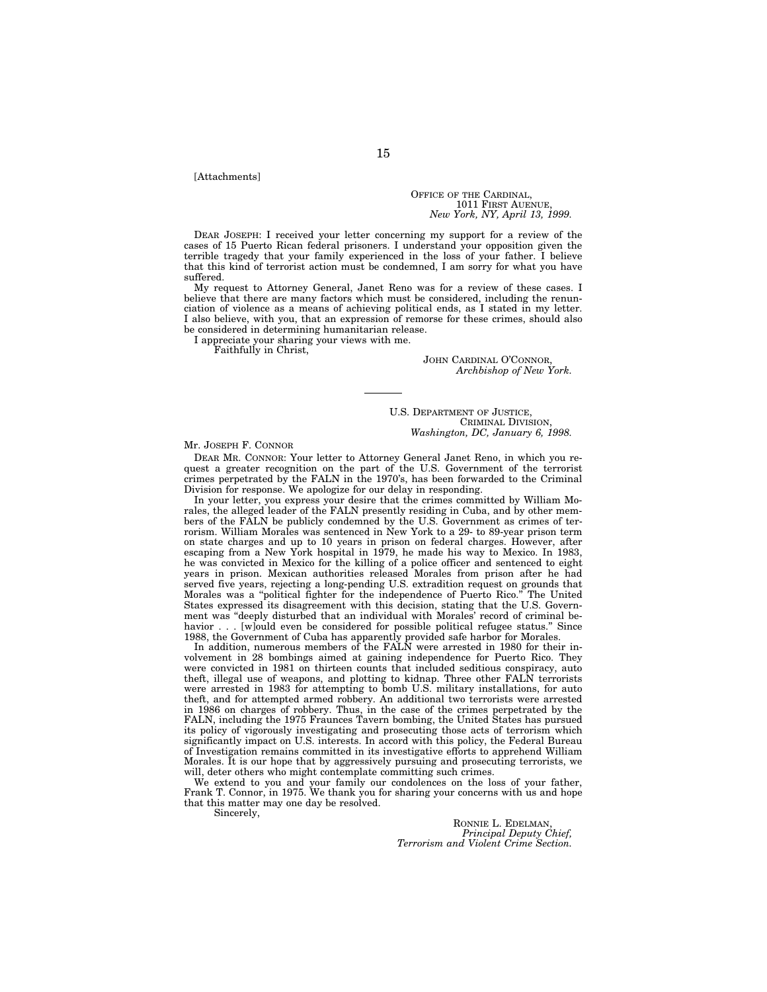[Attachments]

OFFICE OF THE CARDINAL, 1011 FIRST AUENUE, *New York, NY, April 13, 1999.*

DEAR JOSEPH: I received your letter concerning my support for a review of the cases of 15 Puerto Rican federal prisoners. I understand your opposition given the terrible tragedy that your family experienced in the loss of your father. I believe that this kind of terrorist action must be condemned, I am sorry for what you have suffered.

My request to Attorney General, Janet Reno was for a review of these cases. I believe that there are many factors which must be considered, including the renunciation of violence as a means of achieving political ends, as I stated in my letter. I also believe, with you, that an expression of remorse for these crimes, should also be considered in determining humanitarian release.

I appreciate your sharing your views with me.

Faithfully in Christ,

JOHN CARDINAL O'CONNOR, *Archbishop of New York.*

U.S. DEPARTMENT OF JUSTICE, CRIMINAL DIVISION, *Washington, DC, January 6, 1998.*

#### Mr. JOSEPH F. CONNOR

DEAR MR. CONNOR: Your letter to Attorney General Janet Reno, in which you request a greater recognition on the part of the U.S. Government of the terrorist crimes perpetrated by the FALN in the 1970's, has been forwarded to the Criminal Division for response. We apologize for our delay in responding.

In your letter, you express your desire that the crimes committed by William Morales, the alleged leader of the FALN presently residing in Cuba, and by other members of the FALN be publicly condemned by the U.S. Government as crimes of terrorism. William Morales was sentenced in New York to a 29- to 89-year prison term on state charges and up to 10 years in prison on federal charges. However, after escaping from a New York hospital in 1979, he made his way to Mexico. In 1983, he was convicted in Mexico for the killing of a police officer and sentenced to eight years in prison. Mexican authorities released Morales from prison after he had served five years, rejecting a long-pending U.S. extradition request on grounds that Morales was a "political fighter for the independence of Puerto Rico." The United Morales was a ''political fighter for the independence of Puerto Rico.'' The United States expressed its disagreement with this decision, stating that the U.S. Government was ''deeply disturbed that an individual with Morales' record of criminal behavior . . . [w]ould even be considered for possible political refugee status." Since 1988, the Government of Cuba has apparently provided safe harbor for Morales.

In addition, numerous members of the FALN were arrested in 1980 for their involvement in 28 bombings aimed at gaining independence for Puerto Rico. They were convicted in 1981 on thirteen counts that included seditious conspiracy, auto theft, illegal use of weapons, and plotting to kidnap. Three other FALN terrorists were arrested in 1983 for attempting to bomb U.S. military installations, for auto theft, and for attempted armed robbery. An additional two terrorists were arrested in 1986 on charges of robbery. Thus, in the case of the crimes perpetrated by the FALN, including the 1975 Fraunces Tavern bombing, the United States has pursued its policy of vigorously investigating and prosecuting those acts of terrorism which significantly impact on U.S. interests. In accord with this policy, the Federal Bureau of Investigation remains committed in its investigative efforts to apprehend William Morales. It is our hope that by aggressively pursuing and prosecuting terrorists, we will, deter others who might contemplate committing such crimes.

We extend to you and your family our condolences on the loss of your father, Frank T. Connor, in 1975. We thank you for sharing your concerns with us and hope that this matter may one day be resolved.

Sincerely,

RONNIE L. EDELMAN, *Principal Deputy Chief, Terrorism and Violent Crime Section.*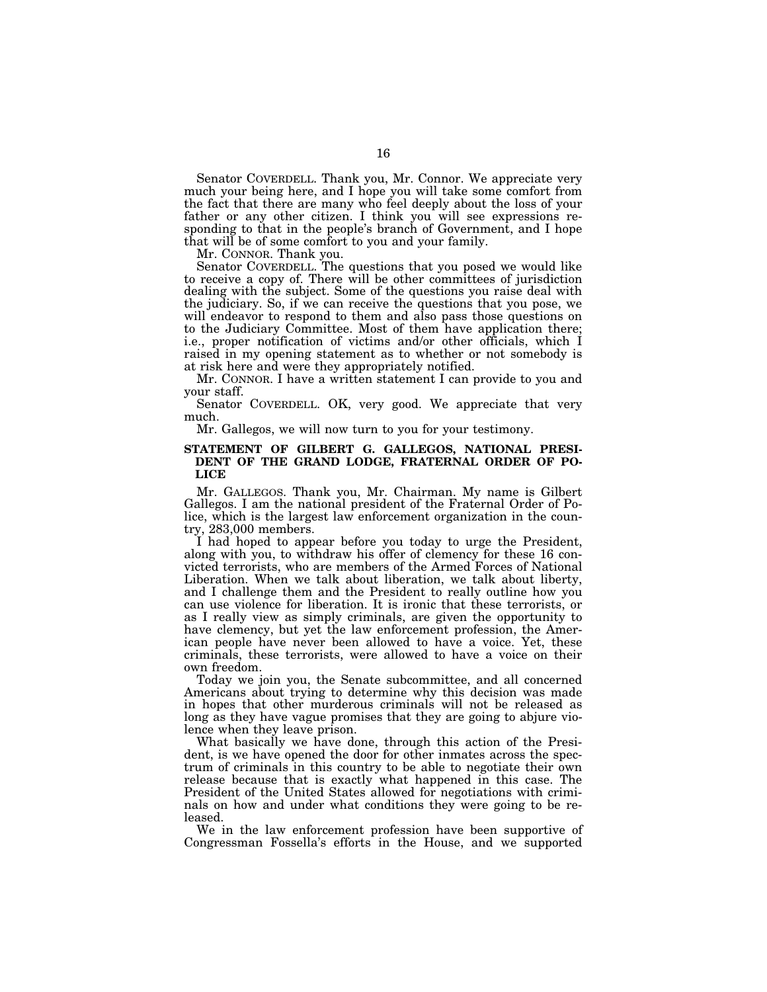Senator COVERDELL. Thank you, Mr. Connor. We appreciate very much your being here, and I hope you will take some comfort from the fact that there are many who feel deeply about the loss of your father or any other citizen. I think you will see expressions responding to that in the people's branch of Government, and I hope that will be of some comfort to you and your family.

Mr. CONNOR. Thank you.

Senator COVERDELL. The questions that you posed we would like to receive a copy of. There will be other committees of jurisdiction dealing with the subject. Some of the questions you raise deal with the judiciary. So, if we can receive the questions that you pose, we will endeavor to respond to them and also pass those questions on to the Judiciary Committee. Most of them have application there; i.e., proper notification of victims and/or other officials, which I raised in my opening statement as to whether or not somebody is at risk here and were they appropriately notified.

Mr. CONNOR. I have a written statement I can provide to you and your staff.

Senator COVERDELL. OK, very good. We appreciate that very much.

Mr. Gallegos, we will now turn to you for your testimony.

## **STATEMENT OF GILBERT G. GALLEGOS, NATIONAL PRESI-DENT OF THE GRAND LODGE, FRATERNAL ORDER OF PO-LICE**

Mr. GALLEGOS. Thank you, Mr. Chairman. My name is Gilbert Gallegos. I am the national president of the Fraternal Order of Police, which is the largest law enforcement organization in the country, 283,000 members.

I had hoped to appear before you today to urge the President, along with you, to withdraw his offer of clemency for these 16 convicted terrorists, who are members of the Armed Forces of National Liberation. When we talk about liberation, we talk about liberty, and I challenge them and the President to really outline how you can use violence for liberation. It is ironic that these terrorists, or as I really view as simply criminals, are given the opportunity to have clemency, but yet the law enforcement profession, the American people have never been allowed to have a voice. Yet, these criminals, these terrorists, were allowed to have a voice on their own freedom.

Today we join you, the Senate subcommittee, and all concerned Americans about trying to determine why this decision was made in hopes that other murderous criminals will not be released as long as they have vague promises that they are going to abjure violence when they leave prison.

What basically we have done, through this action of the President, is we have opened the door for other inmates across the spectrum of criminals in this country to be able to negotiate their own release because that is exactly what happened in this case. The President of the United States allowed for negotiations with criminals on how and under what conditions they were going to be released.

We in the law enforcement profession have been supportive of Congressman Fossella's efforts in the House, and we supported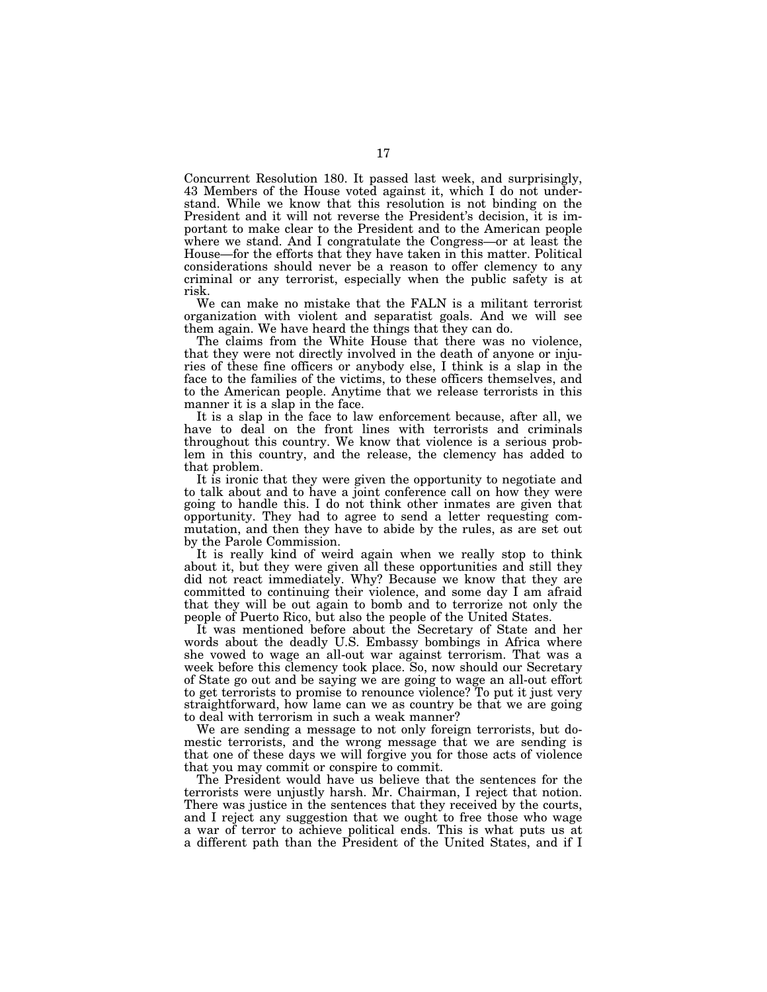Concurrent Resolution 180. It passed last week, and surprisingly, 43 Members of the House voted against it, which I do not understand. While we know that this resolution is not binding on the President and it will not reverse the President's decision, it is important to make clear to the President and to the American people where we stand. And I congratulate the Congress—or at least the House—for the efforts that they have taken in this matter. Political considerations should never be a reason to offer clemency to any criminal or any terrorist, especially when the public safety is at risk.

We can make no mistake that the FALN is a militant terrorist organization with violent and separatist goals. And we will see them again. We have heard the things that they can do.

The claims from the White House that there was no violence, that they were not directly involved in the death of anyone or injuries of these fine officers or anybody else, I think is a slap in the face to the families of the victims, to these officers themselves, and to the American people. Anytime that we release terrorists in this manner it is a slap in the face.

It is a slap in the face to law enforcement because, after all, we have to deal on the front lines with terrorists and criminals throughout this country. We know that violence is a serious problem in this country, and the release, the clemency has added to that problem.

It is ironic that they were given the opportunity to negotiate and to talk about and to have a joint conference call on how they were going to handle this. I do not think other inmates are given that opportunity. They had to agree to send a letter requesting commutation, and then they have to abide by the rules, as are set out by the Parole Commission.

It is really kind of weird again when we really stop to think about it, but they were given all these opportunities and still they did not react immediately. Why? Because we know that they are committed to continuing their violence, and some day I am afraid that they will be out again to bomb and to terrorize not only the people of Puerto Rico, but also the people of the United States.

It was mentioned before about the Secretary of State and her words about the deadly U.S. Embassy bombings in Africa where she vowed to wage an all-out war against terrorism. That was a week before this clemency took place. So, now should our Secretary of State go out and be saying we are going to wage an all-out effort to get terrorists to promise to renounce violence? To put it just very straightforward, how lame can we as country be that we are going to deal with terrorism in such a weak manner?

We are sending a message to not only foreign terrorists, but domestic terrorists, and the wrong message that we are sending is that one of these days we will forgive you for those acts of violence that you may commit or conspire to commit.

The President would have us believe that the sentences for the terrorists were unjustly harsh. Mr. Chairman, I reject that notion. There was justice in the sentences that they received by the courts, and I reject any suggestion that we ought to free those who wage a war of terror to achieve political ends. This is what puts us at a different path than the President of the United States, and if I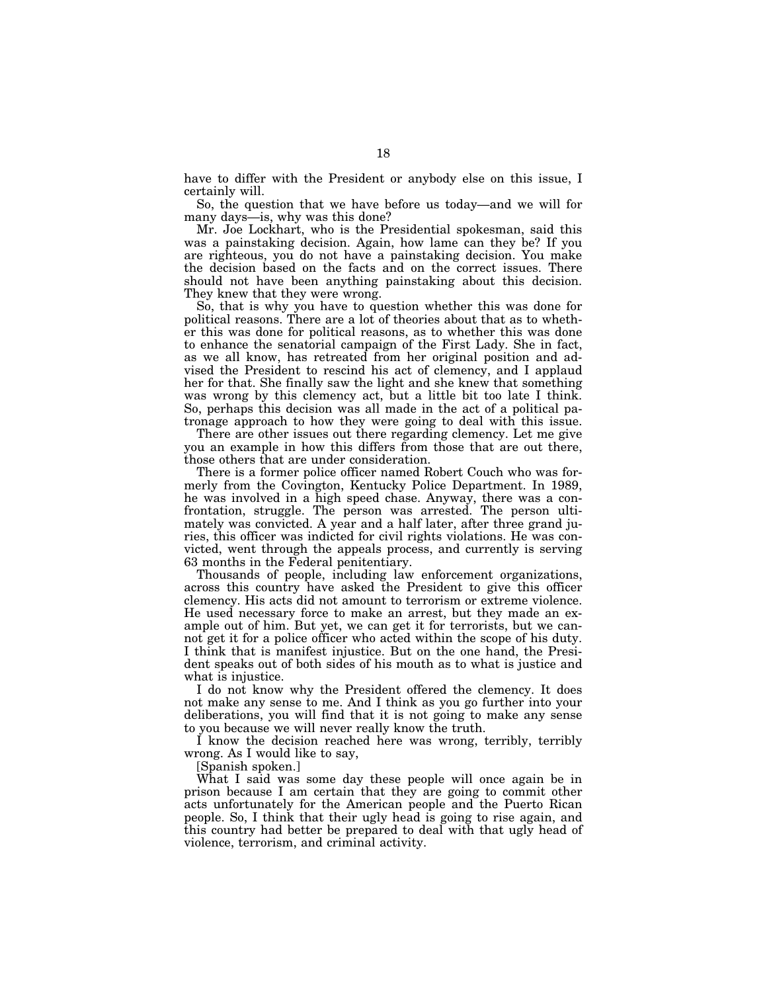have to differ with the President or anybody else on this issue, I certainly will.

So, the question that we have before us today—and we will for many days—is, why was this done?

Mr. Joe Lockhart, who is the Presidential spokesman, said this was a painstaking decision. Again, how lame can they be? If you are righteous, you do not have a painstaking decision. You make the decision based on the facts and on the correct issues. There should not have been anything painstaking about this decision. They knew that they were wrong.

So, that is why you have to question whether this was done for political reasons. There are a lot of theories about that as to whether this was done for political reasons, as to whether this was done to enhance the senatorial campaign of the First Lady. She in fact, as we all know, has retreated from her original position and advised the President to rescind his act of clemency, and I applaud her for that. She finally saw the light and she knew that something was wrong by this clemency act, but a little bit too late I think. So, perhaps this decision was all made in the act of a political patronage approach to how they were going to deal with this issue.

There are other issues out there regarding clemency. Let me give you an example in how this differs from those that are out there, those others that are under consideration.

There is a former police officer named Robert Couch who was formerly from the Covington, Kentucky Police Department. In 1989, he was involved in a high speed chase. Anyway, there was a confrontation, struggle. The person was arrested. The person ultimately was convicted. A year and a half later, after three grand juries, this officer was indicted for civil rights violations. He was convicted, went through the appeals process, and currently is serving 63 months in the Federal penitentiary.

Thousands of people, including law enforcement organizations, across this country have asked the President to give this officer clemency. His acts did not amount to terrorism or extreme violence. He used necessary force to make an arrest, but they made an example out of him. But yet, we can get it for terrorists, but we cannot get it for a police officer who acted within the scope of his duty. I think that is manifest injustice. But on the one hand, the President speaks out of both sides of his mouth as to what is justice and what is injustice.

I do not know why the President offered the clemency. It does not make any sense to me. And I think as you go further into your deliberations, you will find that it is not going to make any sense to you because we will never really know the truth.

I know the decision reached here was wrong, terribly, terribly wrong. As I would like to say,

[Spanish spoken.]

What I said was some day these people will once again be in prison because I am certain that they are going to commit other acts unfortunately for the American people and the Puerto Rican people. So, I think that their ugly head is going to rise again, and this country had better be prepared to deal with that ugly head of violence, terrorism, and criminal activity.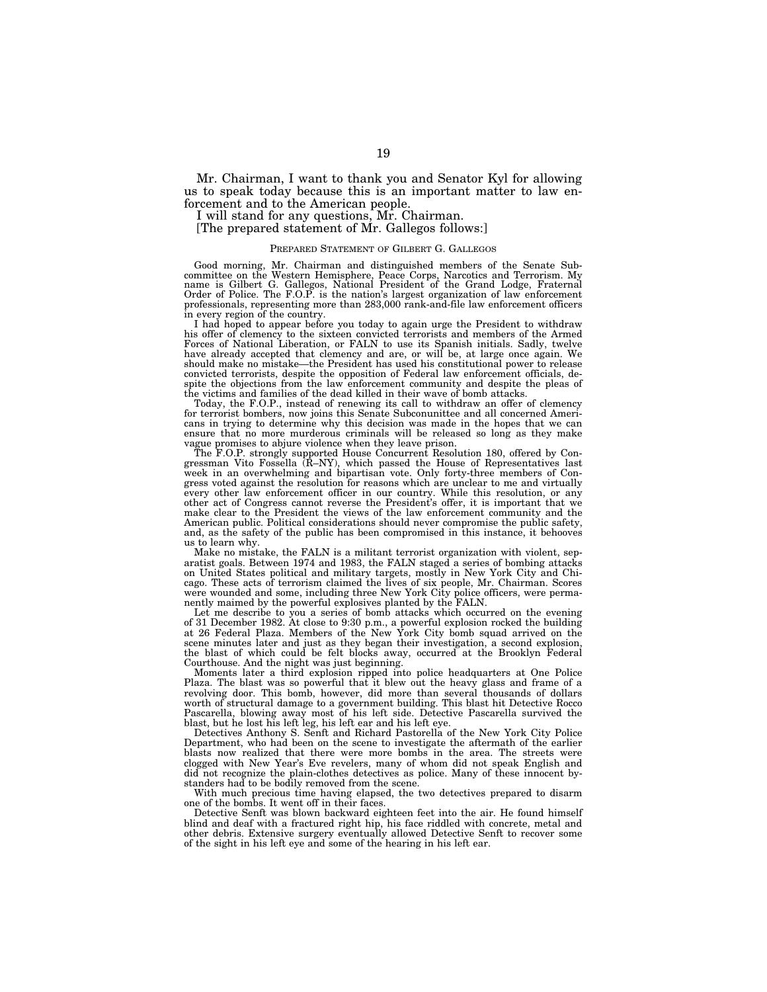Mr. Chairman, I want to thank you and Senator Kyl for allowing us to speak today because this is an important matter to law enforcement and to the American people.

I will stand for any questions, Mr. Chairman.

[The prepared statement of Mr. Gallegos follows:]

#### PREPARED STATEMENT OF GILBERT G. GALLEGOS

Good morning, Mr. Chairman and distinguished members of the Senate Sub-committee on the Western Hemisphere, Peace Corps, Narcotics and Terrorism. My name is Gilbert G. Gallegos, National President of the Grand Lodge, Frate professionals, representing more than 283,000 rank-and-file law enforcement officers in every region of the country.

I had hoped to appear before you today to again urge the President to withdraw his offer of clemency to the sixteen convicted terrorists and members of the Armed Forces of National Liberation, or FALN to use its Spanish initials. Sadly, twelve have already accepted that clemency and are, or will be, at large once again. We should make no mistake—the President has used his constitutional power to release convicted terrorists, despite the opposition of Federal law enforcement officials, despite the objections from the law enforcement community and despite the pleas of the victims and families of the dead killed in their wave of bomb attacks.

Today, the F.O.P., instead of renewing its call to withdraw an offer of clemency for terrorist bombers, now joins this Senate Subconunittee and all concerned Americans in trying to determine why this decision was made in the hopes that we can ensure that no more murderous criminals will be released so long as they make vague promises to abjure violence when they leave prison.

The F.O.P. strongly supported House Concurrent Resolution 180, offered by Congressman Vito Fossella (R–NY), which passed the House of Representatives last week in an overwhelming and bipartisan vote. Only forty-three members of Congress voted against the resolution for reasons which are unclear to me and virtually every other law enforcement officer in our country. While this resolution, or any other act of Congress cannot reverse the President's offer, it is important that we make clear to the President the views of the law enforcement community and the American public. Political considerations should never compromise the public safety, and, as the safety of the public has been compromised in this instance, it behooves us to learn why.

Make no mistake, the FALN is a militant terrorist organization with violent, separatist goals. Between 1974 and 1983, the FALN staged a series of bombing attacks on United States political and military targets, mostly in New York City and Chicago. These acts of terrorism claimed the lives of six people, Mr. Chairman. Scores were wounded and some, including three New York City police officers, were permanently maimed by the powerful explosives planted by the FALN.

Let me describe to you a series of bomb attacks which occurred on the evening of 31 December 1982. At close to 9:30 p.m., a powerful explosion rocked the building at 26 Federal Plaza. Members of the New York City bomb squad arrived on the scene minutes later and just as they began their investigation, a second explosion, the blast of which could be felt blocks away, occurred at the Brooklyn Federal Courthouse. And the night was just beginning.

Moments later a third explosion ripped into police headquarters at One Police Plaza. The blast was so powerful that it blew out the heavy glass and frame of a revolving door. This bomb, however, did more than several thousands of dollars worth of structural damage to a government building. This blast hit Detective Rocco Pascarella, blowing away most of his left side. Detective Pascarella survived the blast, but he lost his left leg, his left ear and his left eye.

Detectives Anthony S. Senft and Richard Pastorella of the New York City Police Department, who had been on the scene to investigate the aftermath of the earlier blasts now realized that there were more bombs in the area. The streets were clogged with New Year's Eve revelers, many of whom did not speak English and did not recognize the plain-clothes detectives as police. Many of these innocent bystanders had to be bodily removed from the scene.

With much precious time having elapsed, the two detectives prepared to disarm one of the bombs. It went off in their faces.

Detective Senft was blown backward eighteen feet into the air. He found himself blind and deaf with a fractured right hip, his face riddled with concrete, metal and other debris. Extensive surgery eventually allowed Detective Senft to recover some of the sight in his left eye and some of the hearing in his left ear.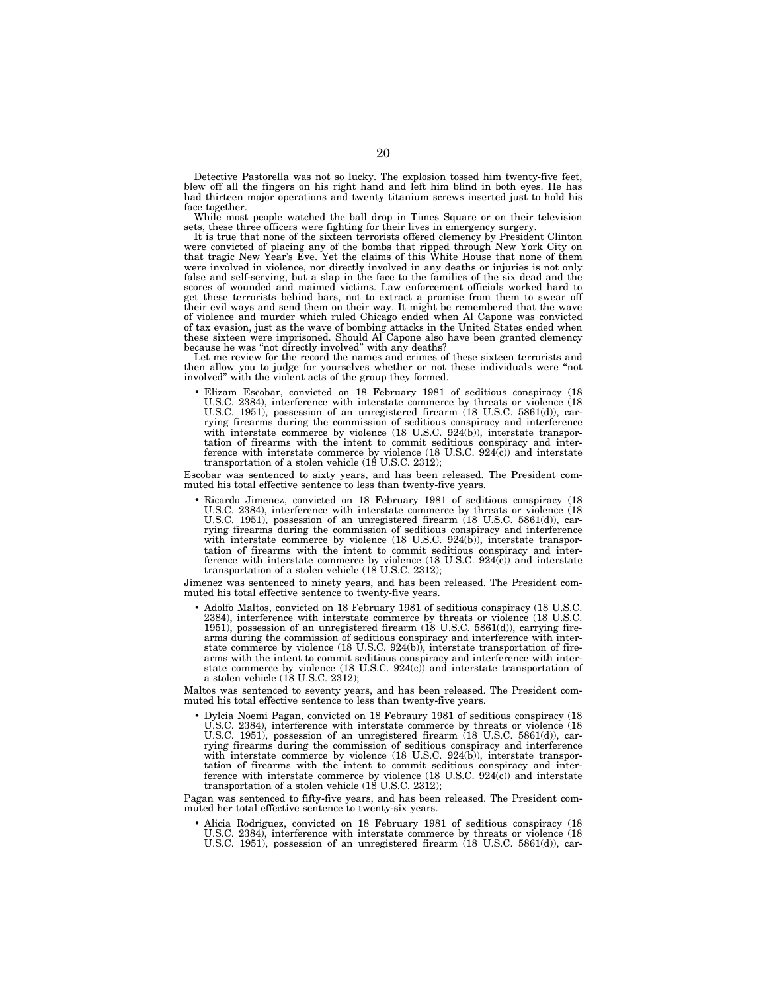Detective Pastorella was not so lucky. The explosion tossed him twenty-five feet, blew off all the fingers on his right hand and left him blind in both eyes. He has had thirteen major operations and twenty titanium screws inserted just to hold his face together.

While most people watched the ball drop in Times Square or on their television sets, these three officers were fighting for their lives in emergency surgery.

It is true that none of the sixteen terrorists offered clemency by President Clinton were convicted of placing any of the bombs that ripped through New York City on that tragic New Year's Eve. Yet the claims of this White House that none of them were involved in violence, nor directly involved in any deaths or injuries is not only false and self-serving, but a slap in the face to the families of the six dead and the scores of wounded and maimed victims. Law enforcement officials worked hard to get these terrorists behind bars, not to extract a promise from them to swear off their evil ways and send them on their way. It might be remembered that the wave of violence and murder which ruled Chicago ended when Al Capone was convicted of tax evasion, just as the wave of bombing attacks in the United States ended when these sixteen were imprisoned. Should Al Capone also have been granted clemency because he was "not directly involved" with any deaths?

Let me review for the record the names and crimes of these sixteen terrorists and then allow you to judge for yourselves whether or not these individuals were ''not involved'' with the violent acts of the group they formed.

• Elizam Escobar, convicted on 18 February 1981 of seditious conspiracy (18 U.S.C. 2384), interference with interstate commerce by threats or violence (18 U.S.C. 1951), possession of an unregistered firearm (18 U.S.C. 5861(d)), carrying firearms during the commission of seditious conspiracy and interference with interstate commerce by violence (18 U.S.C. 924(b)), interstate transportation of firearms with the intent to commit seditious conspiracy and interference with interstate commerce by violence (18 U.S.C. 924(c)) and interstate transportation of a stolen vehicle  $(18 \text{ U.S.C. } 2312);$ 

Escobar was sentenced to sixty years, and has been released. The President commuted his total effective sentence to less than twenty-five years.

• Ricardo Jimenez, convicted on 18 February 1981 of seditious conspiracy (18 U.S.C. 2384), interference with interstate commerce by threats or violence (18 U.S.C. 1951), possession of an unregistered firearm (18 U.S.C. 5861(d)), carrying firearms during the commission of seditious conspiracy and interference with interstate commerce by violence (18 U.S.C. 924(b)), interstate transportation of firearms with the intent to commit seditious conspiracy and interference with interstate commerce by violence (18 U.S.C.  $924(c)$ ) and interstate transportation of a stolen vehicle (18 U.S.C. 2312);

Jimenez was sentenced to ninety years, and has been released. The President commuted his total effective sentence to twenty-five years.

• Adolfo Maltos, convicted on 18 February 1981 of seditious conspiracy (18 U.S.C. 2384), interference with interstate commerce by threats or violence (18 U.S.C. 1951), possession of an unregistered firearm (18 U.S.C. 5861(d)), carrying firearms during the commission of seditious conspiracy and interference with interstate commerce by violence (18 U.S.C. 924(b)), interstate transportation of firearms with the intent to commit seditious conspiracy and interference with interstate commerce by violence (18 U.S.C. 924(c)) and interstate transportation of a stolen vehicle (18 U.S.C. 2312);

Maltos was sentenced to seventy years, and has been released. The President commuted his total effective sentence to less than twenty-five years.

• Dylcia Noemi Pagan, convicted on 18 Febraury 1981 of seditious conspiracy (18 U.S.C. 2384), interference with interstate commerce by threats or violence (18 U.S.C. 1951), possession of an unregistered firearm (18 U.S.C. 5861(d)), carrying firearms during the commission of seditious conspiracy and interference with interstate commerce by violence (18 U.S.C. 924(b)), interstate transportation of firearms with the intent to commit seditious conspiracy and interference with interstate commerce by violence (18 U.S.C. 924(c)) and interstate transportation of a stolen vehicle (18 U.S.C. 2312);

Pagan was sentenced to fifty-five years, and has been released. The President commuted her total effective sentence to twenty-six years.

• Alicia Rodriguez, convicted on 18 February 1981 of seditious conspiracy (18 U.S.C. 2384), interference with interstate commerce by threats or violence (18 U.S.C. 1951), possession of an unregistered firearm (18 U.S.C. 5861(d)), car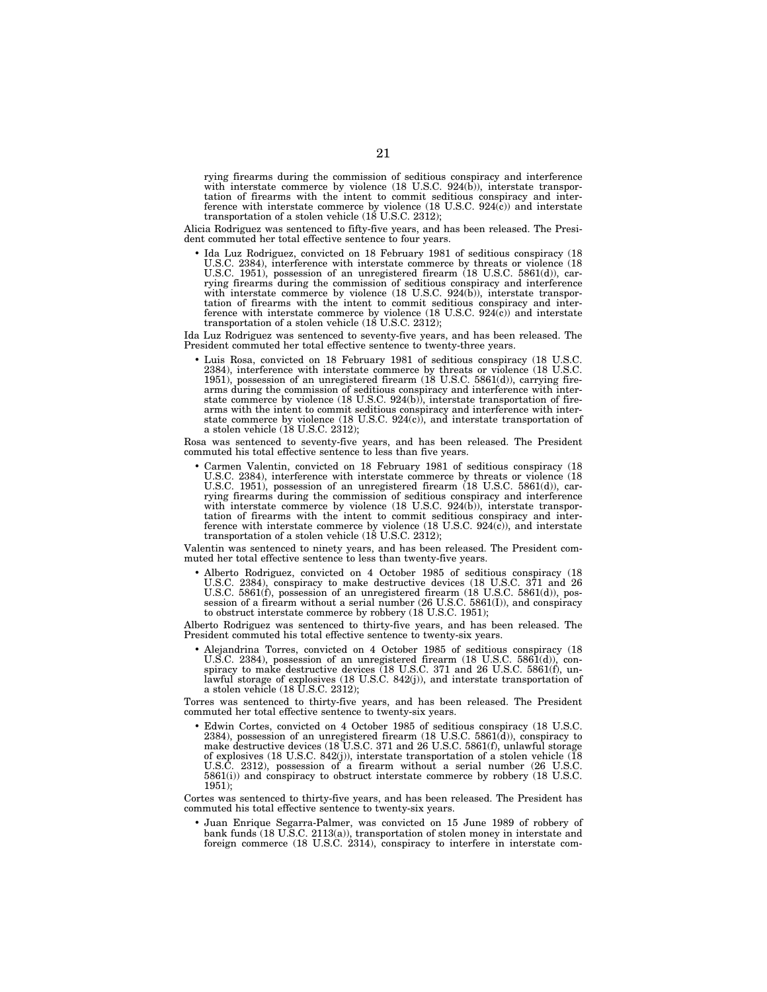rying firearms during the commission of seditious conspiracy and interference with interstate commerce by violence (18 U.S.C. 924(b)), interstate transportation of firearms with the intent to commit seditious conspiracy and interference with interstate commerce by violence (18 U.S.C. 924(c)) and interstate transportation of a stolen vehicle (18 U.S.C. 2312);

Alicia Rodriguez was sentenced to fifty-five years, and has been released. The President commuted her total effective sentence to four years.

• Ida Luz Rodriguez, convicted on 18 February 1981 of seditious conspiracy (18 U.S.C. 2384), interference with interstate commerce by threats or violence (18 U.S.C. 1951), possession of an unregistered firearm (18 U.S.C. 5861(d)), carrying firearms during the commission of seditious conspiracy and interference with interstate commerce by violence (18 U.S.C. 924(b)), interstate transportation of firearms with the intent to commit seditious conspiracy and interference with interstate commerce by violence (18 U.S.C. 924(c)) and interstate transportation of a stolen vehicle (18 U.S.C. 2312);

Ida Luz Rodriguez was sentenced to seventy-five years, and has been released. The President commuted her total effective sentence to twenty-three years.

• Luis Rosa, convicted on 18 February 1981 of seditious conspiracy (18 U.S.C. 2384), interference with interstate commerce by threats or violence (18 U.S.C. 1951), possession of an unregistered firearm (18 U.S.C. 5861(d)), carrying firearms during the commission of seditious conspiracy and interference with interstate commerce by violence (18 U.S.C. 924(b)), interstate transportation of firearms with the intent to commit seditious conspiracy and interference with inter-state commerce by violence (18 U.S.C. 924(c)), and interstate transportation of a stolen vehicle (18 U.S.C. 2312);

Rosa was sentenced to seventy-five years, and has been released. The President commuted his total effective sentence to less than five years.

• Carmen Valentin, convicted on 18 February 1981 of seditious conspiracy (18 U.S.C. 2384), interference with interstate commerce by threats or violence (18 U.S.C. 1951), possession of an unregistered firearm (18 U.S.C. 5861(d)), carrying firearms during the commission of seditious conspiracy and interference with interstate commerce by violence (18 U.S.C. 924(b)), interstate transportation of firearms with the intent to commit seditious conspiracy and inter-ference with interstate commerce by violence (18 U.S.C. 924(c)), and interstate transportation of a stolen vehicle (18 U.S.C. 2312);

Valentin was sentenced to ninety years, and has been released. The President commuted her total effective sentence to less than twenty-five years.

• Alberto Rodriguez, convicted on 4 October 1985 of seditious conspiracy (18 U.S.C. 2384), conspiracy to make destructive devices (18 U.S.C. 371 and 26 U.S.C. 5861(f), possession of an unregistered firearm (18 U.S.C. 5861(d)), possession of a firearm without a serial number (26 U.S.C. 5861(I)), and conspiracy to obstruct interstate commerce by robbery (18 U.S.C. 1951);

Alberto Rodriguez was sentenced to thirty-five years, and has been released. The President commuted his total effective sentence to twenty-six years.

• Alejandrina Torres, convicted on 4 October 1985 of seditious conspiracy (18 U.S.C. 2384), possession of an unregistered firearm (18 U.S.C. 5861(d)), conspiracy to make destructive devices (18 U.S.C. 371 and 26 U.S.C. 5861(f), unlawful storage of explosives (18 U.S.C. 842(j)), and interstate transportation of a stolen vehicle (18 U.S.C. 2312);

Torres was sentenced to thirty-five years, and has been released. The President commuted her total effective sentence to twenty-six years.

• Edwin Cortes, convicted on 4 October 1985 of seditious conspiracy (18 U.S.C. 2384), possession of an unregistered firearm (18 U.S.C. 5861(d)), conspiracy to make destructive devices (18 U.S.C. 371 and 26 U.S.C. 5861(f), unlawful storage of explosives (18 U.S.C. 842(j)), interstate transportation of a stolen vehicle (18 U.S.C. 2312), possession of a firearm without a serial number (26 U.S.C. 5861(i)) and conspiracy to obstruct interstate commerce by robbery (18 U.S.C. 1951);

Cortes was sentenced to thirty-five years, and has been released. The President has commuted his total effective sentence to twenty-six years.

• Juan Enrique Segarra-Palmer, was convicted on 15 June 1989 of robbery of bank funds (18 U.S.C. 2113(a)), transportation of stolen money in interstate and foreign commerce (18 U.S.C. 2314), conspiracy to interfere in interstate com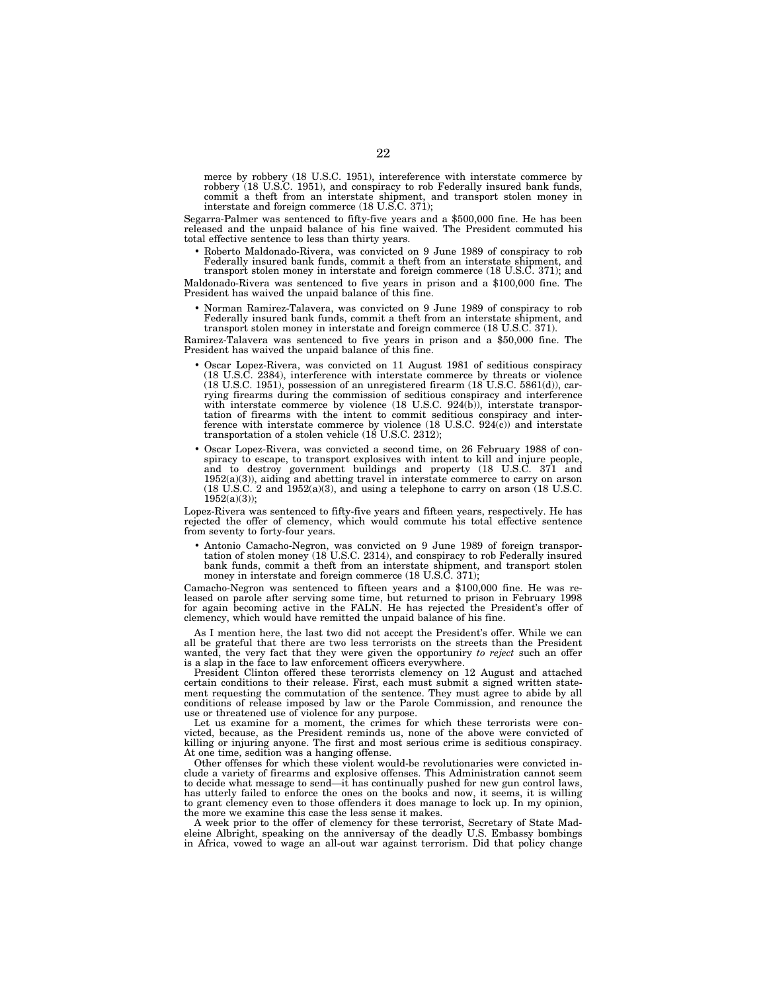merce by robbery (18 U.S.C. 1951), intereference with interstate commerce by robbery (18 U.S.C. 1951), and conspiracy to rob Federally insured bank funds, commit a theft from an interstate shipment, and transport stolen money in interstate and foreign commerce (18 U.S.C. 371);

Segarra-Palmer was sentenced to fifty-five years and a \$500,000 fine. He has been released and the unpaid balance of his fine waived. The President commuted his total effective sentence to less than thirty years.

• Roberto Maldonado-Rivera, was convicted on 9 June 1989 of conspiracy to rob Federally insured bank funds, commit a theft from an interstate shipment, and transport stolen money in interstate and foreign commerce (18 U.S.C. 371); and

Maldonado-Rivera was sentenced to five years in prison and a \$100,000 fine. The President has waived the unpaid balance of this fine.

• Norman Ramirez-Talavera, was convicted on 9 June 1989 of conspiracy to rob Federally insured bank funds, commit a theft from an interstate shipment, and transport stolen money in interstate and foreign commerce (18 U.S.C. 371).

Ramirez-Talavera was sentenced to five years in prison and a \$50,000 fine. The President has waived the unpaid balance of this fine.

- Oscar Lopez-Rivera, was convicted on 11 August 1981 of seditious conspiracy (18 U.S.C. 2384), interference with interstate commerce by threats or violence (18 U.S.C. 1951), possession of an unregistered firearm (18 U.S.C. 5861(d)), carrying firearms during the commission of seditious conspiracy and interference with interstate commerce by violence (18 U.S.C. 924(b)), interstate transportation of firearms with the intent to commit seditious conspiracy and interference with interstate commerce by violence (18 U.S.C. 924(c)) and interstate transportation of a stolen vehicle (18 U.S.C. 2312);
- Oscar Lopez-Rivera, was convicted a second time, on 26 February 1988 of conspiracy to escape, to transport explosives with intent to kill and injure people, and to destroy government buildings and property (18 U.S.C. 371 and 1952(a)(3)), aiding and abetting travel in interstate commerce to carry on arson (18 U.S.C. 2 and 1952(a)(3), and using a telephone to carry on arson (18 U.S.C.  $1952(a)(3)$ ;

Lopez-Rivera was sentenced to fifty-five years and fifteen years, respectively. He has rejected the offer of clemency, which would commute his total effective sentence from seventy to forty-four years.

• Antonio Camacho-Negron, was convicted on 9 June 1989 of foreign transpor-tation of stolen money (18 U.S.C. 2314), and conspiracy to rob Federally insured bank funds, commit a theft from an interstate shipment, and transport stolen money in interstate and foreign commerce (18 U.S.C. 371);

Camacho-Negron was sentenced to fifteen years and a \$100,000 fine. He was released on parole after serving some time, but returned to prison in February 1998 for again becoming active in the FALN. He has rejected the President's offer of clemency, which would have remitted the unpaid balance of his fine.

As I mention here, the last two did not accept the President's offer. While we can all be grateful that there are two less terrorists on the streets than the President wanted, the very fact that they were given the opportuniry *to reject* such an offer is a slap in the face to law enforcement officers everywhere.

President Clinton offered these terorrists clemency on 12 August and attached certain conditions to their release. First, each must submit a signed written statement requesting the commutation of the sentence. They must agree to abide by all conditions of release imposed by law or the Parole Commission, and renounce the use or threatened use of violence for any purpose.

Let us examine for a moment, the crimes for which these terrorists were convicted, because, as the President reminds us, none of the above were convicted of killing or injuring anyone. The first and most serious crime is seditious conspiracy. At one time, sedition was a hanging offense.

Other offenses for which these violent would-be revolutionaries were convicted include a variety of firearms and explosive offenses. This Administration cannot seem to decide what message to send—it has continually pushed for new gun control laws, has utterly failed to enforce the ones on the books and now, it seems, it is willing to grant clemency even to those offenders it does manage to lock up. In my opinion, the more we examine this case the less sense it makes.

A week prior to the offer of clemency for these terrorist, Secretary of State Madeleine Albright, speaking on the anniversay of the deadly U.S. Embassy bombings in Africa, vowed to wage an all-out war against terrorism. Did that policy change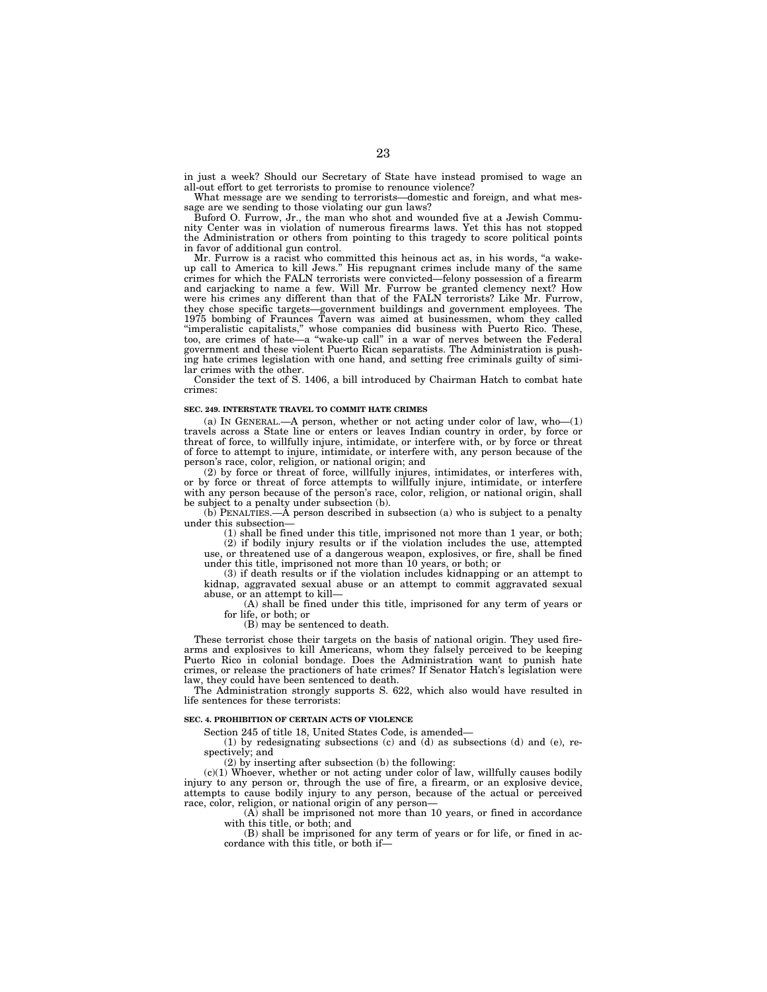in just a week? Should our Secretary of State have instead promised to wage an all-out effort to get terrorists to promise to renounce violence?

What message are we sending to terrorists—domestic and foreign, and what message are we sending to those violating our gun laws?

Buford O. Furrow, Jr., the man who shot and wounded five at a Jewish Community Center was in violation of numerous firearms laws. Yet this has not stopped the Administration or others from pointing to this tragedy to score political points in favor of additional gun control.

Mr. Furrow is a racist who committed this heinous act as, in his words, "a wakeup call to America to kill Jews.'' His repugnant crimes include many of the same crimes for which the FALN terrorists were convicted—felony possession of a firearm and carjacking to name a few. Will Mr. Furrow be granted clemency next? How were his crimes any different than that of the FALN terrorists? Like Mr. Furrow, they chose specific targets—government buildings and government employees. The 1975 bombing of Fraunces Tavern was aimed at businessmen, whom they called ''imperalistic capitalists,'' whose companies did business with Puerto Rico. These, too, are crimes of hate—a ''wake-up call'' in a war of nerves between the Federal government and these violent Puerto Rican separatists. The Administration is pushing hate crimes legislation with one hand, and setting free criminals guilty of similar crimes with the other.

Consider the text of S. 1406, a bill introduced by Chairman Hatch to combat hate crimes:

#### **SEC. 249. INTERSTATE TRAVEL TO COMMIT HATE CRIMES**

(a) IN GENERAL.—A person, whether or not acting under color of law, who—(1) travels across a State line or enters or leaves Indian country in order, by force or threat of force, to willfully injure, intimidate, or interfere with, or by force or threat of force to attempt to injure, intimidate, or interfere with, any person because of the person's race, color, religion, or national origin; and

(2) by force or threat of force, willfully injures, intimidates, or interferes with, or by force or threat of force attempts to willfully injure, intimidate, or interfere with any person because of the person's race, color, religion, or national origin, shall be subject to a penalty under subsection (b).

(b) PENALTIES.—A person described in subsection (a) who is subject to a penalty under this subsection—

(1) shall be fined under this title, imprisoned not more than 1 year, or both;

(2) if bodily injury results or if the violation includes the use, attempted use, or threatened use of a dangerous weapon, explosives, or fire, shall be fined under this title, imprisoned not more than 10 years, or both; or

(3) if death results or if the violation includes kidnapping or an attempt to kidnap, aggravated sexual abuse or an attempt to commit aggravated sexual abuse, or an attempt to kill—

(A) shall be fined under this title, imprisoned for any term of years or for life, or both; or

(B) may be sentenced to death.

These terrorist chose their targets on the basis of national origin. They used firearms and explosives to kill Americans, whom they falsely perceived to be keeping Puerto Rico in colonial bondage. Does the Administration want to punish hate crimes, or release the practioners of hate crimes? If Senator Hatch's legislation were law, they could have been sentenced to death.

The Administration strongly supports S. 622, which also would have resulted in life sentences for these terrorists:

#### **SEC. 4. PROHIBITION OF CERTAIN ACTS OF VIOLENCE**

Section 245 of title 18, United States Code, is amended—

(1) by redesignating subsections (c) and (d) as subsections (d) and (e), respectively; and

(2) by inserting after subsection (b) the following:

 $(c)(1)$  Whoever, whether or not acting under color of law, willfully causes bodily injury to any person or, through the use of fire, a firearm, or an explosive device, attempts to cause bodily injury to any person, because of the actual or perceived race, color, religion, or national origin of any person—

(A) shall be imprisoned not more than 10 years, or fined in accordance with this title, or both; and

(B) shall be imprisoned for any term of years or for life, or fined in accordance with this title, or both if-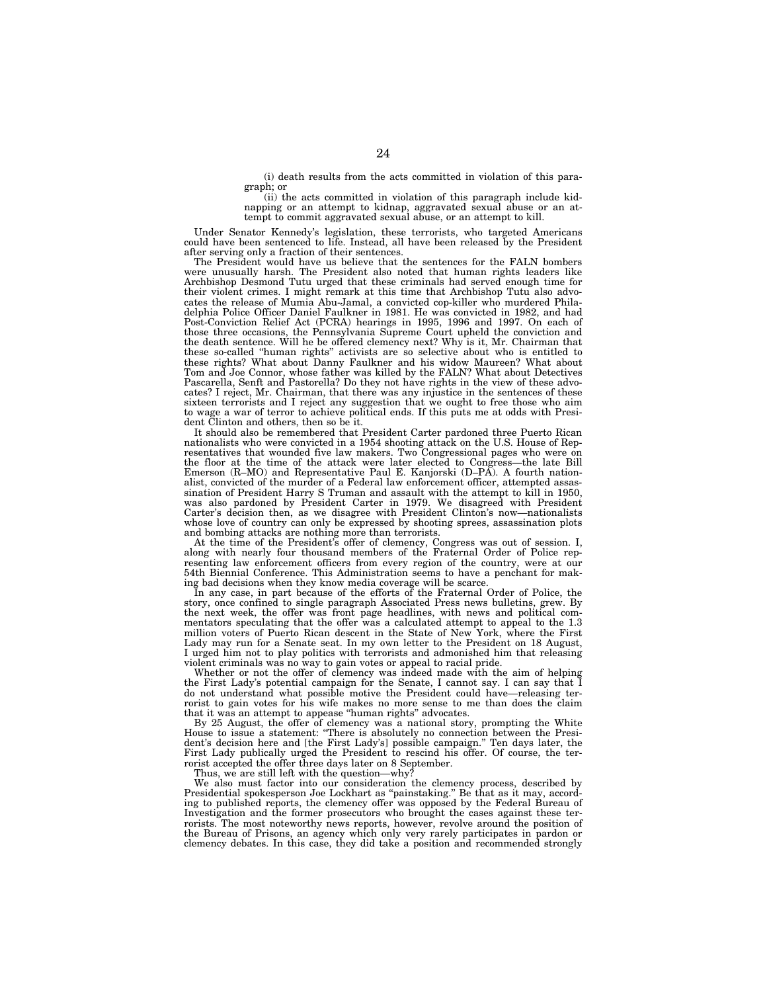(i) death results from the acts committed in violation of this paragraph; or

(ii) the acts committed in violation of this paragraph include kidnapping or an attempt to kidnap, aggravated sexual abuse or an attempt to commit aggravated sexual abuse, or an attempt to kill.

Under Senator Kennedy's legislation, these terrorists, who targeted Americans could have been sentenced to life. Instead, all have been released by the President after serving only a fraction of their sentences.

The President would have us believe that the sentences for the FALN bombers were unusually harsh. The President also noted that human rights leaders like Archbishop Desmond Tutu urged that these criminals had served enough time for their violent crimes. I might remark at this time that Archbishop Tutu also advocates the release of Mumia Abu-Jamal, a convicted cop-killer who murdered Philadelphia Police Officer Daniel Faulkner in 1981. He was convicted in 1982, and had Post-Conviction Relief Act (PCRA) hearings in 1995, 1996 and 1997. On each of those three occasions, the Pennsylvania Supreme Court upheld the conviction and the death sentence. Will he be offered clemency next? Why is it, Mr. Chairman that these so-called ''human rights'' activists are so selective about who is entitled to these rights? What about Danny Faulkner and his widow Maureen? What about Tom and Joe Connor, whose father was killed by the FALN? What about Detectives Pascarella, Senft and Pastorella? Do they not have rights in the view of these advocates? I reject, Mr. Chairman, that there was any injustice in the sentences of these sixteen terrorists and I reject any suggestion that we ought to free those who aim to wage a war of terror to achieve political ends. If this puts me at odds with President Clinton and others, then so be it.

It should also be remembered that President Carter pardoned three Puerto Rican nationalists who were convicted in a 1954 shooting attack on the U.S. House of Representatives that wounded five law makers. Two Congressional pages who were on the floor at the time of the attack were later elected to Congress—the late Bill Emerson (R–MO) and Representative Paul E. Kanjorski (D–PA). A fourth nationalist, convicted of the murder of a Federal law enforcement officer, attempted assassination of President Harry S Truman and assault with the attempt to kill in 1950, was also pardoned by President Carter in 1979. We disagreed with President Carter's decision then, as we disagree with President Clinton's now—nationalists whose love of country can only be expressed by shooting sprees, assassination plots and bombing attacks are nothing more than terrorists.

At the time of the President's offer of clemency, Congress was out of session. I, along with nearly four thousand members of the Fraternal Order of Police representing law enforcement officers from every region of the country, were at our 54th Biennial Conference. This Administration seems to have a penchant for making bad decisions when they know media coverage will be scarce.

In any case, in part because of the efforts of the Fraternal Order of Police, the story, once confined to single paragraph Associated Press news bulletins, grew. By the next week, the offer was front page headlines, with news and political commentators speculating that the offer was a calculated attempt to appeal to the 1.3 million voters of Puerto Rican descent in the State of New York, where the First Lady may run for a Senate seat. In my own letter to the President on 18 August, I urged him not to play politics with terrorists and admonished him that releasing violent criminals was no way to gain votes or appeal to racial pride.

Whether or not the offer of clemency was indeed made with the aim of helping the First Lady's potential campaign for the Senate, I cannot say. I can say that I do not understand what possible motive the President could have—releasing terrorist to gain votes for his wife makes no more sense to me than does the claim that it was an attempt to appease ''human rights'' advocates.

By 25 August, the offer of clemency was a national story, prompting the White House to issue a statement: ''There is absolutely no connection between the President's decision here and [the First Lady's] possible campaign.'' Ten days later, the First Lady publically urged the President to rescind his offer. Of course, the terrorist accepted the offer three days later on 8 September.

Thus, we are still left with the question—why?

We also must factor into our consideration the clemency process, described by Presidential spokesperson Joe Lockhart as ''painstaking.'' Be that as it may, according to published reports, the clemency offer was opposed by the Federal Bureau of Investigation and the former prosecutors who brought the cases against these terrorists. The most noteworthy news reports, however, revolve around the position of the Bureau of Prisons, an agency which only very rarely participates in pardon or clemency debates. In this case, they did take a position and recommended strongly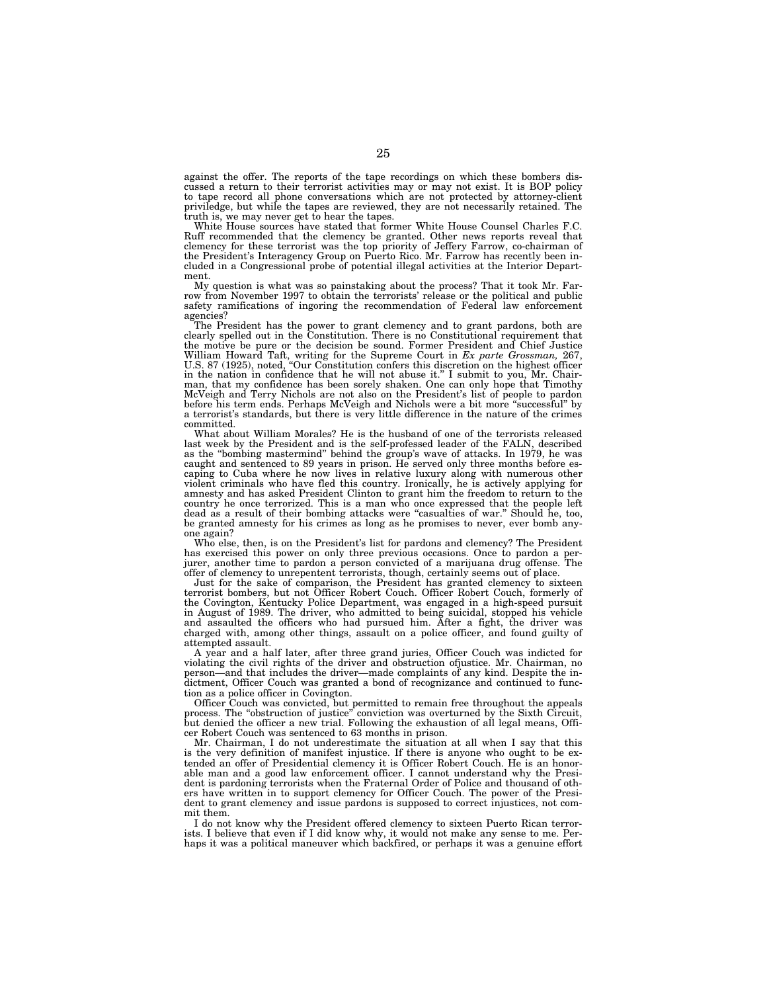against the offer. The reports of the tape recordings on which these bombers discussed a return to their terrorist activities may or may not exist. It is BOP policy to tape record all phone conversations which are not protected by attorney-client priviledge, but while the tapes are reviewed, they are not necessarily retained. The truth is, we may never get to hear the tapes.

White House sources have stated that former White House Counsel Charles F.C. Ruff recommended that the clemency be granted. Other news reports reveal that clemency for these terrorist was the top priority of Jeffery Farrow, co-chairman of the President's Interagency Group on Puerto Rico. Mr. Farrow has recently been included in a Congressional probe of potential illegal activities at the Interior Department.

My question is what was so painstaking about the process? That it took Mr. Far-row from November 1997 to obtain the terrorists' release or the political and public safety ramifications of ingoring the recommendation of Federal law enforcement agencies?

The President has the power to grant clemency and to grant pardons, both are clearly spelled out in the Constitution. There is no Constitutional requirement that the motive be pure or the decision be sound. Former President and Chief Justice William Howard Taft, writing for the Supreme Court in *Ex parte Grossman*, 267, U.S. 87 (1925), noted, "Our Constitution confers this discretion on the highest officer in the nation in confidence that he will not abuse it. man, that my confidence has been sorely shaken. One can only hope that Timothy McVeigh and Terry Nichols are not also on the President's list of people to pardon before his term ends. Perhaps McVeigh and Nichols were a bit more ''successful'' by a terrorist's standards, but there is very little difference in the nature of the crimes committed.

What about William Morales? He is the husband of one of the terrorists released last week by the President and is the self-professed leader of the FALN, described as the ''bombing mastermind'' behind the group's wave of attacks. In 1979, he was caught and sentenced to 89 years in prison. He served only three months before escaping to Cuba where he now lives in relative luxury along with numerous other violent criminals who have fled this country. Ironically, he is actively applying for amnesty and has asked President Clinton to grant him the freedom to return to the country he once terrorized. This is a man who once expressed that the people left dead as a result of their bombing attacks were ''casualties of war.'' Should he, too, be granted amnesty for his crimes as long as he promises to never, ever bomb anyone again?

Who else, then, is on the President's list for pardons and clemency? The President has exercised this power on only three previous occasions. Once to pardon a perjurer, another time to pardon a person convicted of a marijuana drug offense. The offer of clemency to unrepentent terrorists, though, certainly seems out of place.

Just for the sake of comparison, the President has granted clemency to sixteen terrorist bombers, but not Officer Robert Couch. Officer Robert Couch, formerly of the Covington, Kentucky Police Department, was engaged in a high-speed pursuit in August of 1989. The driver, who admitted to being suicidal, stopped his vehicle and assaulted the officers who had pursued him. After a fight, the driver was charged with, among other things, assault on a police officer, and found guilty of attempted assault.

A year and a half later, after three grand juries, Officer Couch was indicted for violating the civil rights of the driver and obstruction ofjustice. Mr. Chairman, no person—and that includes the driver—made complaints of any kind. Despite the indictment, Officer Couch was granted a bond of recognizance and continued to function as a police officer in Covington.

Officer Couch was convicted, but permitted to remain free throughout the appeals process. The "obstruction of justice" conviction was overturned by the Sixth Circuit, but denied the officer a new trial. Following the exhaustion of all legal means, Officer Robert Couch was sentenced to 63 months in prison.

Mr. Chairman, I do not underestimate the situation at all when I say that this is the very definition of manifest injustice. If there is anyone who ought to be extended an offer of Presidential clemency it is Officer Robert Couch. He is an honorable man and a good law enforcement officer. I cannot understand why the President is pardoning terrorists when the Fraternal Order of Police and thousand of others have written in to support clemency for Officer Couch. The power of the President to grant clemency and issue pardons is supposed to correct injustices, not commit them.

I do not know why the President offered clemency to sixteen Puerto Rican terrorists. I believe that even if I did know why, it would not make any sense to me. Perhaps it was a political maneuver which backfired, or perhaps it was a genuine effort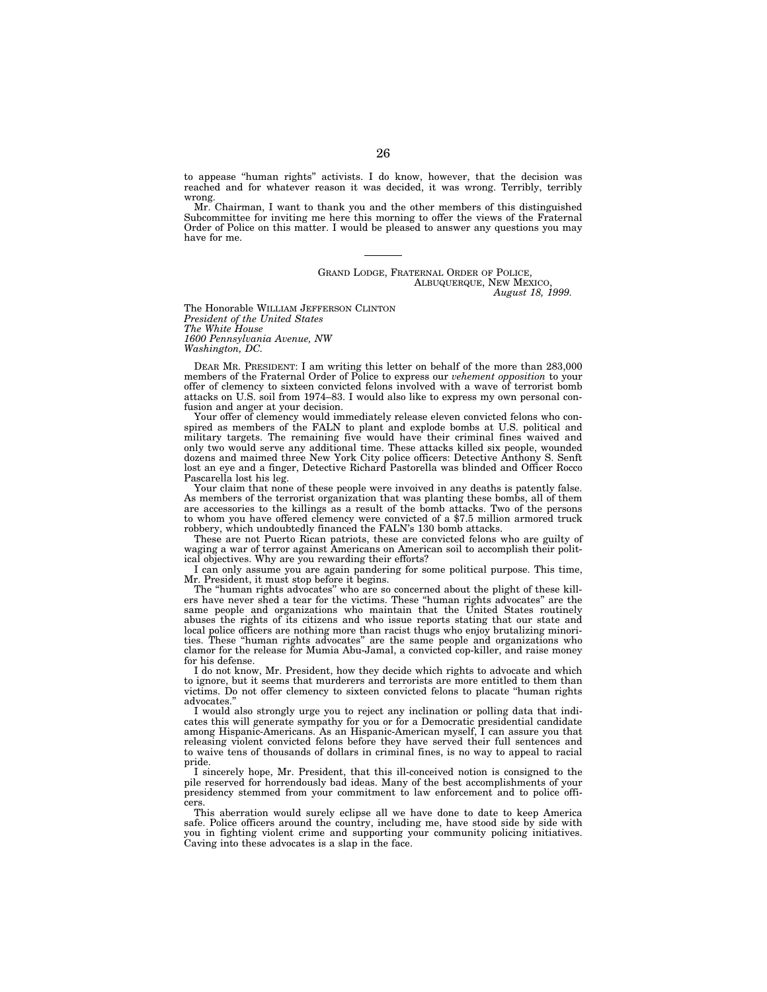to appease ''human rights'' activists. I do know, however, that the decision was reached and for whatever reason it was decided, it was wrong. Terribly, terribly wrong.

Mr. Chairman, I want to thank you and the other members of this distinguished Subcommittee for inviting me here this morning to offer the views of the Fraternal Order of Police on this matter. I would be pleased to answer any questions you may have for me.

#### GRAND LODGE, FRATERNAL ORDER OF POLICE, ALBUQUERQUE, NEW MEXICO, *August 18, 1999.*

The Honorable WILLIAM JEFFERSON CLINTON *President of the United States The White House 1600 Pennsylvania Avenue, NW Washington, DC.*

DEAR MR. PRESIDENT: I am writing this letter on behalf of the more than 283,000 members of the Fraternal Order of Police to express our *vehement opposition* to your offer of clemency to sixteen convicted felons involved with a wave of terrorist bomb attacks on U.S. soil from 1974–83. I would also like to express my own personal confusion and anger at your decision.

Your offer of clemency would immediately release eleven convicted felons who conspired as members of the FALN to plant and explode bombs at U.S. political and military targets. The remaining five would have their criminal fines waived and only two would serve any additional time. These attacks killed six people, wounded dozens and maimed three New York City police officers: Detective Anthony S. Senft lost an eye and a finger, Detective Richard Pastorella was blinded and Officer Rocco Pascarella lost his leg.

Your claim that none of these people were invoived in any deaths is patently false. As members of the terrorist organization that was planting these bombs, all of them are accessories to the killings as a result of the bomb attacks. Two of the persons to whom you have offered clemency were convicted of a \$7.5 million armored truck robbery, which undoubtedly financed the FALN's 130 bomb attacks.

These are not Puerto Rican patriots, these are convicted felons who are guilty of waging a war of terror against Americans on American soil to accomplish their political objectives. Why are you rewarding their efforts?

I can only assume you are again pandering for some political purpose. This time, Mr. President, it must stop before it begins.

The ''human rights advocates'' who are so concerned about the plight of these killers have never shed a tear for the victims. These ''human rights advocates'' are the same people and organizations who maintain that the United States routinely abuses the rights of its citizens and who issue reports stating that our state and local police officers are nothing more than racist thugs who enjoy brutalizing minorities. These ''human rights advocates'' are the same people and organizations who clamor for the release for Mumia Abu-Jamal, a convicted cop-killer, and raise money for his defense.

I do not know, Mr. President, how they decide which rights to advocate and which to ignore, but it seems that murderers and terrorists are more entitled to them than victims. Do not offer clemency to sixteen convicted felons to placate ''human rights advocates.''

I would also strongly urge you to reject any inclination or polling data that indicates this will generate sympathy for you or for a Democratic presidential candidate among Hispanic-Americans. As an Hispanic-American myself, I can assure you that releasing violent convicted felons before they have served their full sentences and to waive tens of thousands of dollars in criminal fines, is no way to appeal to racial pride.

I sincerely hope, Mr. President, that this ill-conceived notion is consigned to the pile reserved for horrendously bad ideas. Many of the best accomplishments of your presidency stemmed from your commitment to law enforcement and to police officers.

This aberration would surely eclipse all we have done to date to keep America safe. Police officers around the country, including me, have stood side by side with you in fighting violent crime and supporting your community policing initiatives. Caving into these advocates is a slap in the face.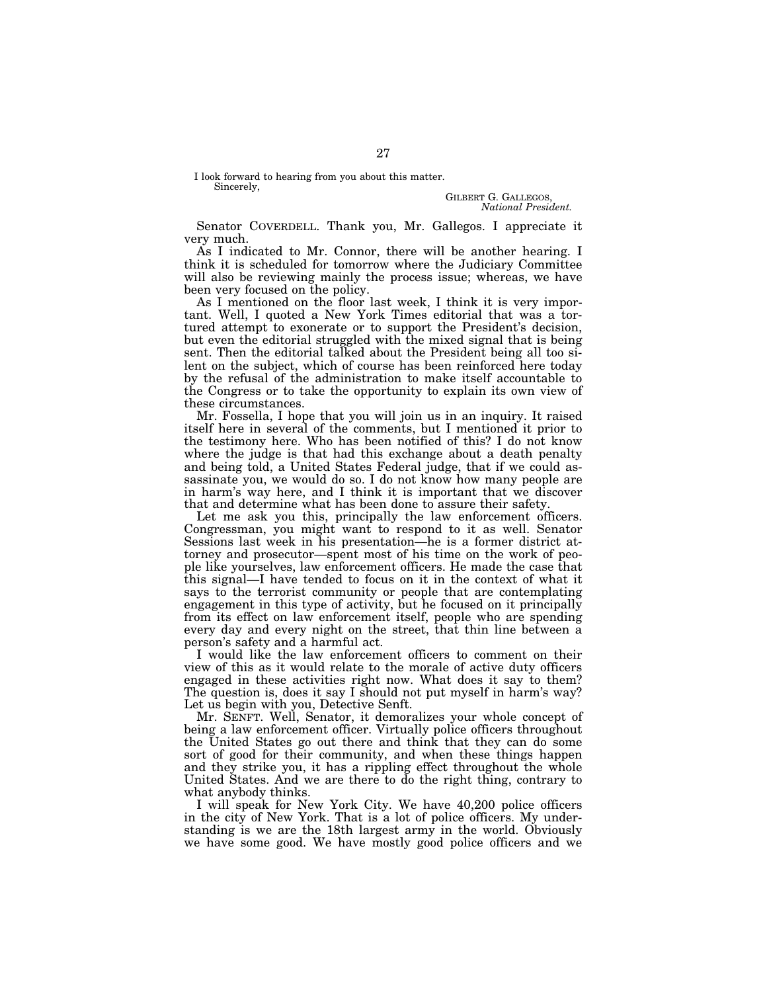I look forward to hearing from you about this matter. Sincerely,

> GILBERT G. GALLEGOS *National President.*

Senator COVERDELL. Thank you, Mr. Gallegos. I appreciate it very much.

As I indicated to Mr. Connor, there will be another hearing. I think it is scheduled for tomorrow where the Judiciary Committee will also be reviewing mainly the process issue; whereas, we have been very focused on the policy.

As I mentioned on the floor last week, I think it is very important. Well, I quoted a New York Times editorial that was a tortured attempt to exonerate or to support the President's decision, but even the editorial struggled with the mixed signal that is being sent. Then the editorial talked about the President being all too silent on the subject, which of course has been reinforced here today by the refusal of the administration to make itself accountable to the Congress or to take the opportunity to explain its own view of these circumstances.

Mr. Fossella, I hope that you will join us in an inquiry. It raised itself here in several of the comments, but I mentioned it prior to the testimony here. Who has been notified of this? I do not know where the judge is that had this exchange about a death penalty and being told, a United States Federal judge, that if we could assassinate you, we would do so. I do not know how many people are in harm's way here, and I think it is important that we discover that and determine what has been done to assure their safety.

Let me ask you this, principally the law enforcement officers. Congressman, you might want to respond to it as well. Senator Sessions last week in his presentation—he is a former district attorney and prosecutor—spent most of his time on the work of people like yourselves, law enforcement officers. He made the case that this signal—I have tended to focus on it in the context of what it says to the terrorist community or people that are contemplating engagement in this type of activity, but he focused on it principally from its effect on law enforcement itself, people who are spending every day and every night on the street, that thin line between a person's safety and a harmful act.

I would like the law enforcement officers to comment on their view of this as it would relate to the morale of active duty officers engaged in these activities right now. What does it say to them? The question is, does it say I should not put myself in harm's way? Let us begin with you, Detective Senft.

Mr. SENFT. Well, Senator, it demoralizes your whole concept of being a law enforcement officer. Virtually police officers throughout the United States go out there and think that they can do some sort of good for their community, and when these things happen and they strike you, it has a rippling effect throughout the whole United States. And we are there to do the right thing, contrary to what anybody thinks.

I will speak for New York City. We have 40,200 police officers in the city of New York. That is a lot of police officers. My understanding is we are the 18th largest army in the world. Obviously we have some good. We have mostly good police officers and we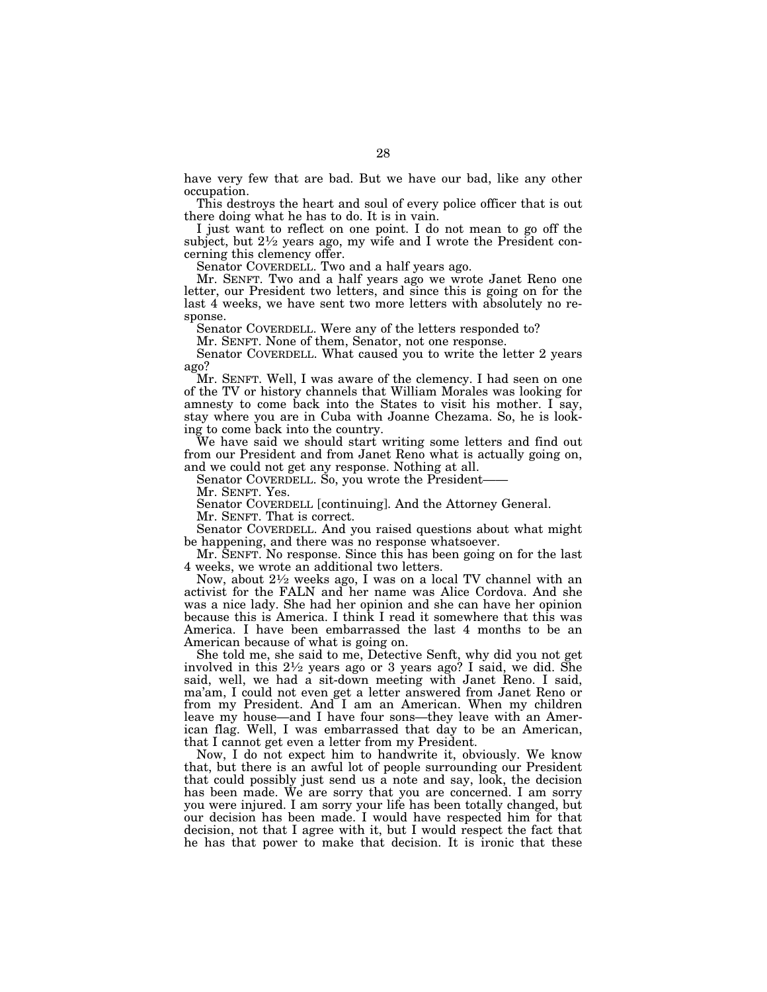have very few that are bad. But we have our bad, like any other occupation.

This destroys the heart and soul of every police officer that is out there doing what he has to do. It is in vain.

I just want to reflect on one point. I do not mean to go off the subject, but  $2\frac{1}{2}$  years ago, my wife and I wrote the President concerning this clemency offer.

Senator COVERDELL. Two and a half years ago.

Mr. SENFT. Two and a half years ago we wrote Janet Reno one letter, our President two letters, and since this is going on for the last 4 weeks, we have sent two more letters with absolutely no response.

Senator COVERDELL. Were any of the letters responded to?

Mr. SENFT. None of them, Senator, not one response.

Senator COVERDELL. What caused you to write the letter 2 years ago?

Mr. SENFT. Well, I was aware of the clemency. I had seen on one of the TV or history channels that William Morales was looking for amnesty to come back into the States to visit his mother. I say, stay where you are in Cuba with Joanne Chezama. So, he is looking to come back into the country.

We have said we should start writing some letters and find out from our President and from Janet Reno what is actually going on, and we could not get any response. Nothing at all.

Senator COVERDELL. So, you wrote the President——

Mr. SENFT. Yes.

Senator COVERDELL [continuing]. And the Attorney General.

Mr. SENFT. That is correct.

Senator COVERDELL. And you raised questions about what might be happening, and there was no response whatsoever.

Mr. SENFT. No response. Since this has been going on for the last 4 weeks, we wrote an additional two letters.

Now, about 21⁄2 weeks ago, I was on a local TV channel with an activist for the FALN and her name was Alice Cordova. And she was a nice lady. She had her opinion and she can have her opinion because this is America. I think I read it somewhere that this was America. I have been embarrassed the last 4 months to be an American because of what is going on.

She told me, she said to me, Detective Senft, why did you not get involved in this 21⁄2 years ago or 3 years ago? I said, we did. She said, well, we had a sit-down meeting with Janet Reno. I said, ma'am, I could not even get a letter answered from Janet Reno or from my President. And I am an American. When my children leave my house—and I have four sons—they leave with an American flag. Well, I was embarrassed that day to be an American, that I cannot get even a letter from my President.

Now, I do not expect him to handwrite it, obviously. We know that, but there is an awful lot of people surrounding our President that could possibly just send us a note and say, look, the decision has been made. We are sorry that you are concerned. I am sorry you were injured. I am sorry your life has been totally changed, but our decision has been made. I would have respected him for that decision, not that I agree with it, but I would respect the fact that he has that power to make that decision. It is ironic that these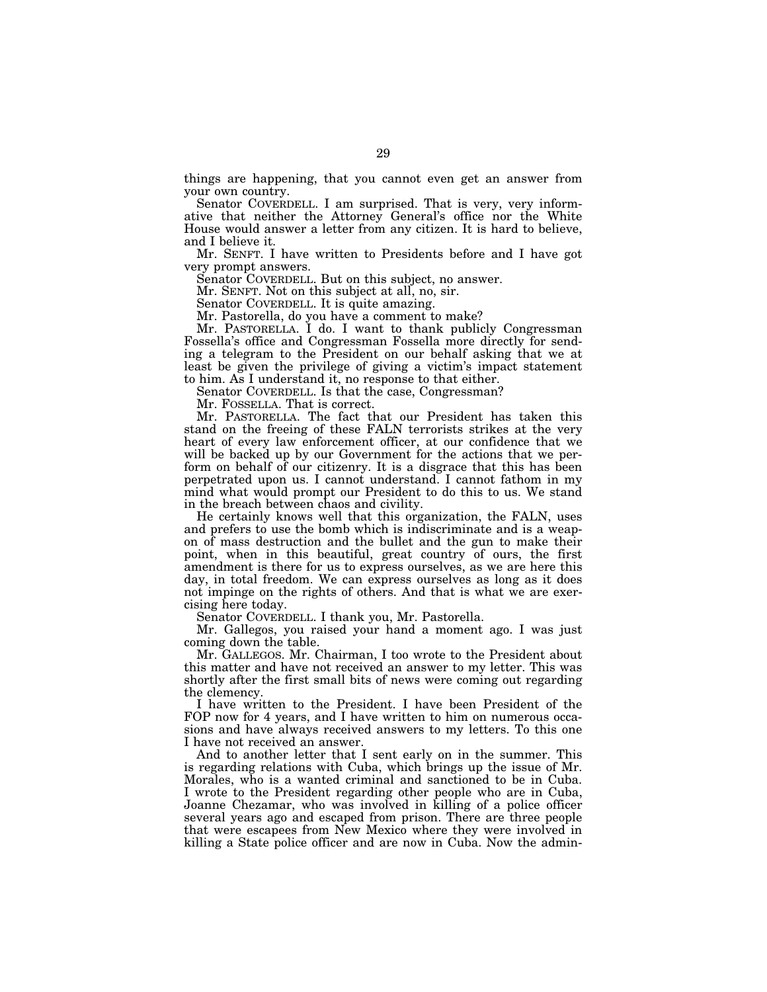things are happening, that you cannot even get an answer from your own country.

Senator COVERDELL. I am surprised. That is very, very informative that neither the Attorney General's office nor the White House would answer a letter from any citizen. It is hard to believe, and I believe it.

Mr. SENFT. I have written to Presidents before and I have got very prompt answers.

Senator COVERDELL. But on this subject, no answer.

Mr. SENFT. Not on this subject at all, no, sir.

Senator COVERDELL. It is quite amazing.

Mr. Pastorella, do you have a comment to make?

Mr. PASTORELLA. I do. I want to thank publicly Congressman Fossella's office and Congressman Fossella more directly for sending a telegram to the President on our behalf asking that we at least be given the privilege of giving a victim's impact statement to him. As I understand it, no response to that either.

Senator COVERDELL. Is that the case, Congressman?

Mr. FOSSELLA. That is correct.

Mr. PASTORELLA. The fact that our President has taken this stand on the freeing of these FALN terrorists strikes at the very heart of every law enforcement officer, at our confidence that we will be backed up by our Government for the actions that we perform on behalf of our citizenry. It is a disgrace that this has been perpetrated upon us. I cannot understand. I cannot fathom in my mind what would prompt our President to do this to us. We stand in the breach between chaos and civility.

He certainly knows well that this organization, the FALN, uses and prefers to use the bomb which is indiscriminate and is a weapon of mass destruction and the bullet and the gun to make their point, when in this beautiful, great country of ours, the first amendment is there for us to express ourselves, as we are here this day, in total freedom. We can express ourselves as long as it does not impinge on the rights of others. And that is what we are exercising here today.

Senator COVERDELL. I thank you, Mr. Pastorella.

Mr. Gallegos, you raised your hand a moment ago. I was just coming down the table.

Mr. GALLEGOS. Mr. Chairman, I too wrote to the President about this matter and have not received an answer to my letter. This was shortly after the first small bits of news were coming out regarding the clemency.

I have written to the President. I have been President of the FOP now for 4 years, and I have written to him on numerous occasions and have always received answers to my letters. To this one I have not received an answer.

And to another letter that I sent early on in the summer. This is regarding relations with Cuba, which brings up the issue of Mr. Morales, who is a wanted criminal and sanctioned to be in Cuba. I wrote to the President regarding other people who are in Cuba, Joanne Chezamar, who was involved in killing of a police officer several years ago and escaped from prison. There are three people that were escapees from New Mexico where they were involved in killing a State police officer and are now in Cuba. Now the admin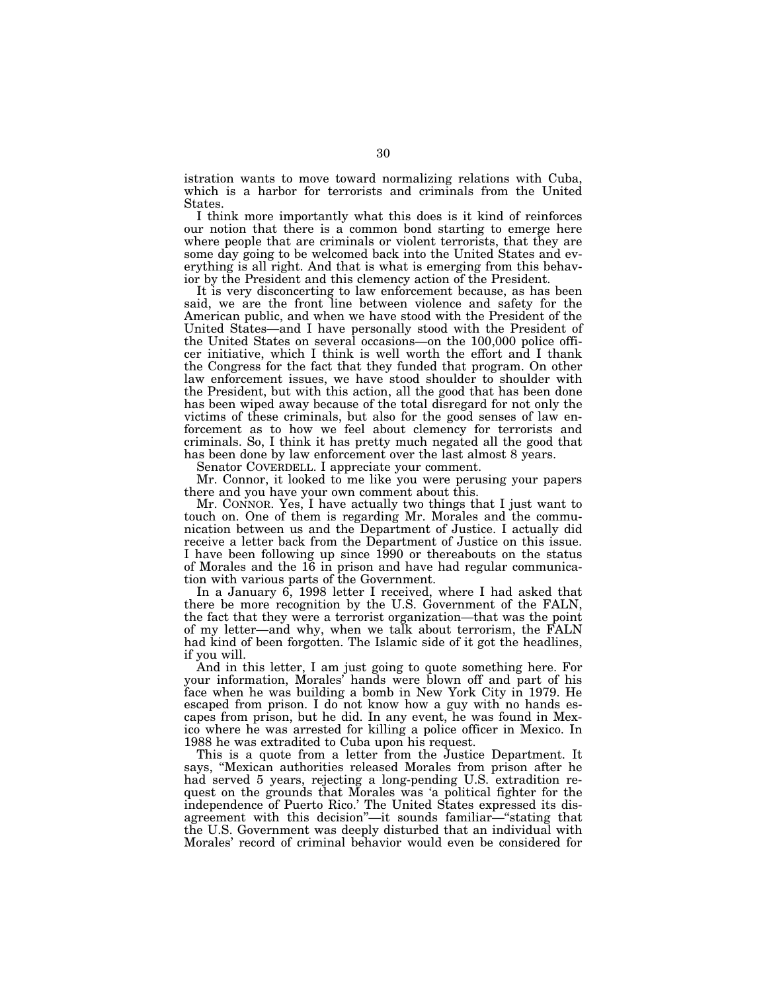istration wants to move toward normalizing relations with Cuba, which is a harbor for terrorists and criminals from the United States.

I think more importantly what this does is it kind of reinforces our notion that there is a common bond starting to emerge here where people that are criminals or violent terrorists, that they are some day going to be welcomed back into the United States and everything is all right. And that is what is emerging from this behavior by the President and this clemency action of the President.

It is very disconcerting to law enforcement because, as has been said, we are the front line between violence and safety for the American public, and when we have stood with the President of the United States—and I have personally stood with the President of the United States on several occasions—on the 100,000 police officer initiative, which I think is well worth the effort and I thank the Congress for the fact that they funded that program. On other law enforcement issues, we have stood shoulder to shoulder with the President, but with this action, all the good that has been done has been wiped away because of the total disregard for not only the victims of these criminals, but also for the good senses of law enforcement as to how we feel about clemency for terrorists and criminals. So, I think it has pretty much negated all the good that has been done by law enforcement over the last almost 8 years.

Senator COVERDELL. I appreciate your comment.

Mr. Connor, it looked to me like you were perusing your papers there and you have your own comment about this.

Mr. CONNOR. Yes, I have actually two things that I just want to touch on. One of them is regarding Mr. Morales and the communication between us and the Department of Justice. I actually did receive a letter back from the Department of Justice on this issue. I have been following up since 1990 or thereabouts on the status of Morales and the 16 in prison and have had regular communication with various parts of the Government.

In a January 6, 1998 letter I received, where I had asked that there be more recognition by the U.S. Government of the FALN, the fact that they were a terrorist organization—that was the point of my letter—and why, when we talk about terrorism, the FALN had kind of been forgotten. The Islamic side of it got the headlines, if you will.

And in this letter, I am just going to quote something here. For your information, Morales' hands were blown off and part of his face when he was building a bomb in New York City in 1979. He escaped from prison. I do not know how a guy with no hands escapes from prison, but he did. In any event, he was found in Mexico where he was arrested for killing a police officer in Mexico. In 1988 he was extradited to Cuba upon his request.

This is a quote from a letter from the Justice Department. It says, ''Mexican authorities released Morales from prison after he had served 5 years, rejecting a long-pending U.S. extradition request on the grounds that Morales was 'a political fighter for the independence of Puerto Rico.' The United States expressed its disagreement with this decision''—it sounds familiar—''stating that the U.S. Government was deeply disturbed that an individual with Morales' record of criminal behavior would even be considered for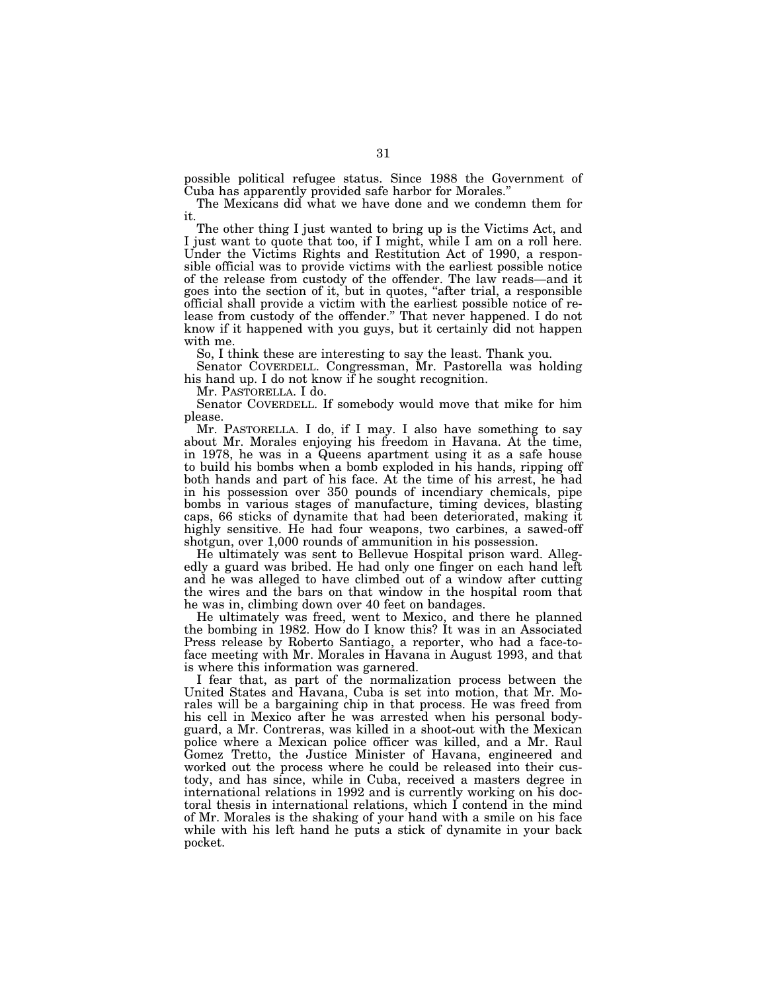possible political refugee status. Since 1988 the Government of Cuba has apparently provided safe harbor for Morales.''

The Mexicans did what we have done and we condemn them for it.

The other thing I just wanted to bring up is the Victims Act, and I just want to quote that too, if I might, while I am on a roll here. Under the Victims Rights and Restitution Act of 1990, a responsible official was to provide victims with the earliest possible notice of the release from custody of the offender. The law reads—and it goes into the section of it, but in quotes, ''after trial, a responsible official shall provide a victim with the earliest possible notice of release from custody of the offender.'' That never happened. I do not know if it happened with you guys, but it certainly did not happen with me.

So, I think these are interesting to say the least. Thank you.

Senator COVERDELL. Congressman, Mr. Pastorella was holding his hand up. I do not know if he sought recognition.

Mr. PASTORELLA. I do.

Senator COVERDELL. If somebody would move that mike for him please.

Mr. PASTORELLA. I do, if I may. I also have something to say about Mr. Morales enjoying his freedom in Havana. At the time, in 1978, he was in a Queens apartment using it as a safe house to build his bombs when a bomb exploded in his hands, ripping off both hands and part of his face. At the time of his arrest, he had in his possession over 350 pounds of incendiary chemicals, pipe bombs in various stages of manufacture, timing devices, blasting caps, 66 sticks of dynamite that had been deteriorated, making it highly sensitive. He had four weapons, two carbines, a sawed-off shotgun, over 1,000 rounds of ammunition in his possession.

He ultimately was sent to Bellevue Hospital prison ward. Allegedly a guard was bribed. He had only one finger on each hand left and he was alleged to have climbed out of a window after cutting the wires and the bars on that window in the hospital room that he was in, climbing down over 40 feet on bandages.

He ultimately was freed, went to Mexico, and there he planned the bombing in 1982. How do I know this? It was in an Associated Press release by Roberto Santiago, a reporter, who had a face-toface meeting with Mr. Morales in Havana in August 1993, and that is where this information was garnered.

I fear that, as part of the normalization process between the United States and Havana, Cuba is set into motion, that Mr. Morales will be a bargaining chip in that process. He was freed from his cell in Mexico after he was arrested when his personal bodyguard, a Mr. Contreras, was killed in a shoot-out with the Mexican police where a Mexican police officer was killed, and a Mr. Raul Gomez Tretto, the Justice Minister of Havana, engineered and worked out the process where he could be released into their custody, and has since, while in Cuba, received a masters degree in international relations in 1992 and is currently working on his doctoral thesis in international relations, which I contend in the mind of Mr. Morales is the shaking of your hand with a smile on his face while with his left hand he puts a stick of dynamite in your back pocket.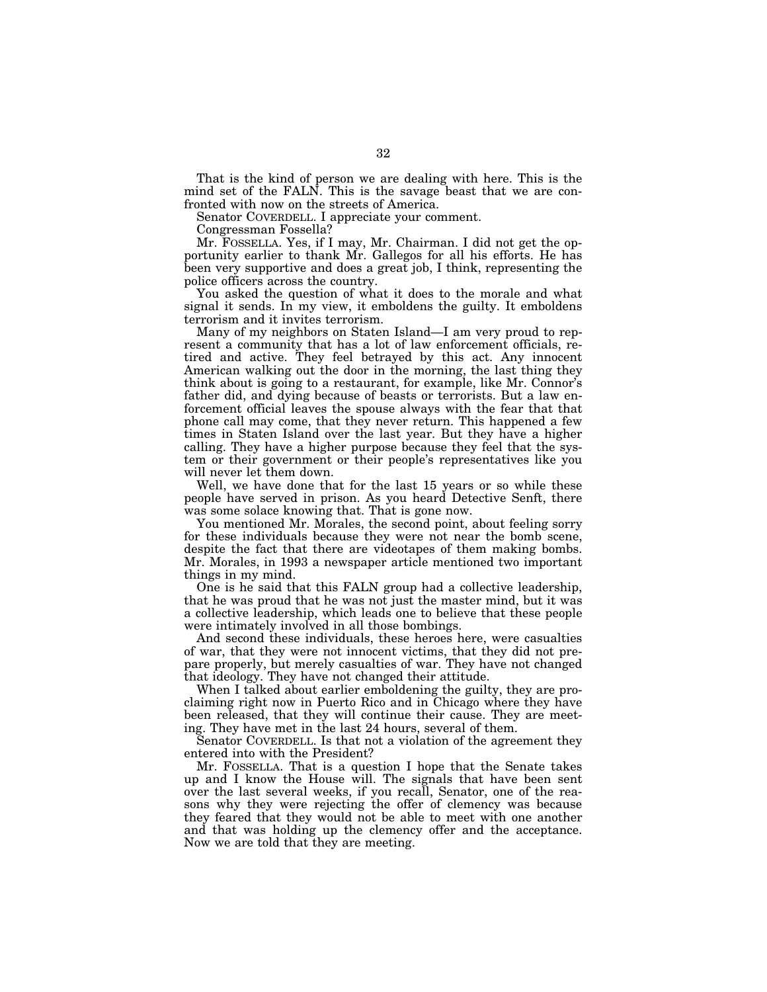That is the kind of person we are dealing with here. This is the mind set of the FALN. This is the savage beast that we are confronted with now on the streets of America.

Senator COVERDELL. I appreciate your comment.

Congressman Fossella?

Mr. FOSSELLA. Yes, if I may, Mr. Chairman. I did not get the opportunity earlier to thank Mr. Gallegos for all his efforts. He has been very supportive and does a great job, I think, representing the police officers across the country.

You asked the question of what it does to the morale and what signal it sends. In my view, it emboldens the guilty. It emboldens terrorism and it invites terrorism.

Many of my neighbors on Staten Island—I am very proud to represent a community that has a lot of law enforcement officials, retired and active. They feel betrayed by this act. Any innocent American walking out the door in the morning, the last thing they think about is going to a restaurant, for example, like Mr. Connor's father did, and dying because of beasts or terrorists. But a law enforcement official leaves the spouse always with the fear that that phone call may come, that they never return. This happened a few times in Staten Island over the last year. But they have a higher calling. They have a higher purpose because they feel that the system or their government or their people's representatives like you will never let them down.

Well, we have done that for the last 15 years or so while these people have served in prison. As you heard Detective Senft, there was some solace knowing that. That is gone now.

You mentioned Mr. Morales, the second point, about feeling sorry for these individuals because they were not near the bomb scene, despite the fact that there are videotapes of them making bombs. Mr. Morales, in 1993 a newspaper article mentioned two important things in my mind.

One is he said that this FALN group had a collective leadership, that he was proud that he was not just the master mind, but it was a collective leadership, which leads one to believe that these people were intimately involved in all those bombings.

And second these individuals, these heroes here, were casualties of war, that they were not innocent victims, that they did not prepare properly, but merely casualties of war. They have not changed that ideology. They have not changed their attitude.

When I talked about earlier emboldening the guilty, they are proclaiming right now in Puerto Rico and in Chicago where they have been released, that they will continue their cause. They are meeting. They have met in the last 24 hours, several of them.

Senator COVERDELL. Is that not a violation of the agreement they entered into with the President?

Mr. FOSSELLA. That is a question I hope that the Senate takes up and I know the House will. The signals that have been sent over the last several weeks, if you recall, Senator, one of the reasons why they were rejecting the offer of clemency was because they feared that they would not be able to meet with one another and that was holding up the clemency offer and the acceptance. Now we are told that they are meeting.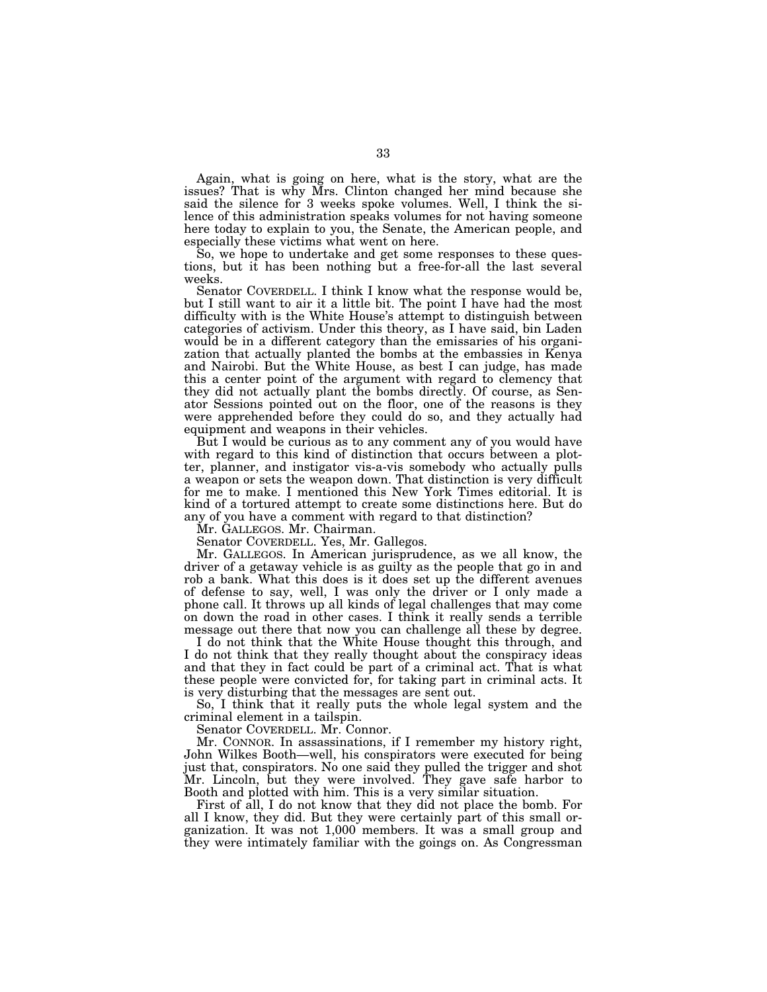Again, what is going on here, what is the story, what are the issues? That is why Mrs. Clinton changed her mind because she said the silence for 3 weeks spoke volumes. Well, I think the silence of this administration speaks volumes for not having someone here today to explain to you, the Senate, the American people, and especially these victims what went on here.

So, we hope to undertake and get some responses to these questions, but it has been nothing but a free-for-all the last several weeks.

Senator COVERDELL. I think I know what the response would be, but I still want to air it a little bit. The point I have had the most difficulty with is the White House's attempt to distinguish between categories of activism. Under this theory, as I have said, bin Laden would be in a different category than the emissaries of his organization that actually planted the bombs at the embassies in Kenya and Nairobi. But the White House, as best I can judge, has made this a center point of the argument with regard to clemency that they did not actually plant the bombs directly. Of course, as Senator Sessions pointed out on the floor, one of the reasons is they were apprehended before they could do so, and they actually had equipment and weapons in their vehicles.

But I would be curious as to any comment any of you would have with regard to this kind of distinction that occurs between a plotter, planner, and instigator vis-a-vis somebody who actually pulls a weapon or sets the weapon down. That distinction is very difficult for me to make. I mentioned this New York Times editorial. It is kind of a tortured attempt to create some distinctions here. But do any of you have a comment with regard to that distinction?

Mr. GALLEGOS. Mr. Chairman.

Senator COVERDELL. Yes, Mr. Gallegos.

Mr. GALLEGOS. In American jurisprudence, as we all know, the driver of a getaway vehicle is as guilty as the people that go in and rob a bank. What this does is it does set up the different avenues of defense to say, well, I was only the driver or I only made a phone call. It throws up all kinds of legal challenges that may come on down the road in other cases. I think it really sends a terrible message out there that now you can challenge all these by degree.

I do not think that the White House thought this through, and I do not think that they really thought about the conspiracy ideas and that they in fact could be part of a criminal act. That is what these people were convicted for, for taking part in criminal acts. It is very disturbing that the messages are sent out.

So, I think that it really puts the whole legal system and the criminal element in a tailspin.

Senator COVERDELL. Mr. Connor.

Mr. CONNOR. In assassinations, if I remember my history right, John Wilkes Booth—well, his conspirators were executed for being just that, conspirators. No one said they pulled the trigger and shot Mr. Lincoln, but they were involved. They gave safe harbor to Booth and plotted with him. This is a very similar situation.

First of all, I do not know that they did not place the bomb. For all I know, they did. But they were certainly part of this small organization. It was not 1,000 members. It was a small group and they were intimately familiar with the goings on. As Congressman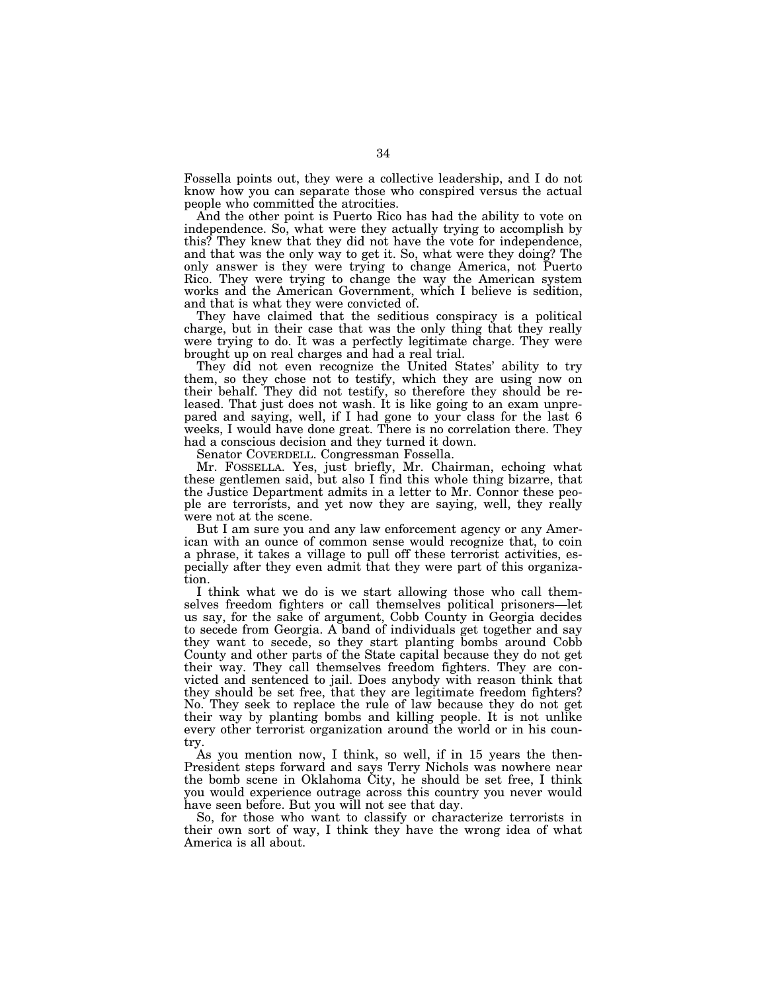Fossella points out, they were a collective leadership, and I do not know how you can separate those who conspired versus the actual people who committed the atrocities.

And the other point is Puerto Rico has had the ability to vote on independence. So, what were they actually trying to accomplish by this? They knew that they did not have the vote for independence, and that was the only way to get it. So, what were they doing? The only answer is they were trying to change America, not Puerto Rico. They were trying to change the way the American system works and the American Government, which I believe is sedition, and that is what they were convicted of.

They have claimed that the seditious conspiracy is a political charge, but in their case that was the only thing that they really were trying to do. It was a perfectly legitimate charge. They were brought up on real charges and had a real trial.

They did not even recognize the United States' ability to try them, so they chose not to testify, which they are using now on their behalf. They did not testify, so therefore they should be released. That just does not wash. It is like going to an exam unprepared and saying, well, if I had gone to your class for the last 6 weeks, I would have done great. There is no correlation there. They had a conscious decision and they turned it down.

Senator COVERDELL. Congressman Fossella.

Mr. FOSSELLA. Yes, just briefly, Mr. Chairman, echoing what these gentlemen said, but also I find this whole thing bizarre, that the Justice Department admits in a letter to Mr. Connor these people are terrorists, and yet now they are saying, well, they really were not at the scene.

But I am sure you and any law enforcement agency or any American with an ounce of common sense would recognize that, to coin a phrase, it takes a village to pull off these terrorist activities, especially after they even admit that they were part of this organization.

I think what we do is we start allowing those who call themselves freedom fighters or call themselves political prisoners—let us say, for the sake of argument, Cobb County in Georgia decides to secede from Georgia. A band of individuals get together and say they want to secede, so they start planting bombs around Cobb County and other parts of the State capital because they do not get their way. They call themselves freedom fighters. They are convicted and sentenced to jail. Does anybody with reason think that they should be set free, that they are legitimate freedom fighters? No. They seek to replace the rule of law because they do not get their way by planting bombs and killing people. It is not unlike every other terrorist organization around the world or in his country.

As you mention now, I think, so well, if in 15 years the then-President steps forward and says Terry Nichols was nowhere near the bomb scene in Oklahoma City, he should be set free, I think you would experience outrage across this country you never would have seen before. But you will not see that day.

So, for those who want to classify or characterize terrorists in their own sort of way, I think they have the wrong idea of what America is all about.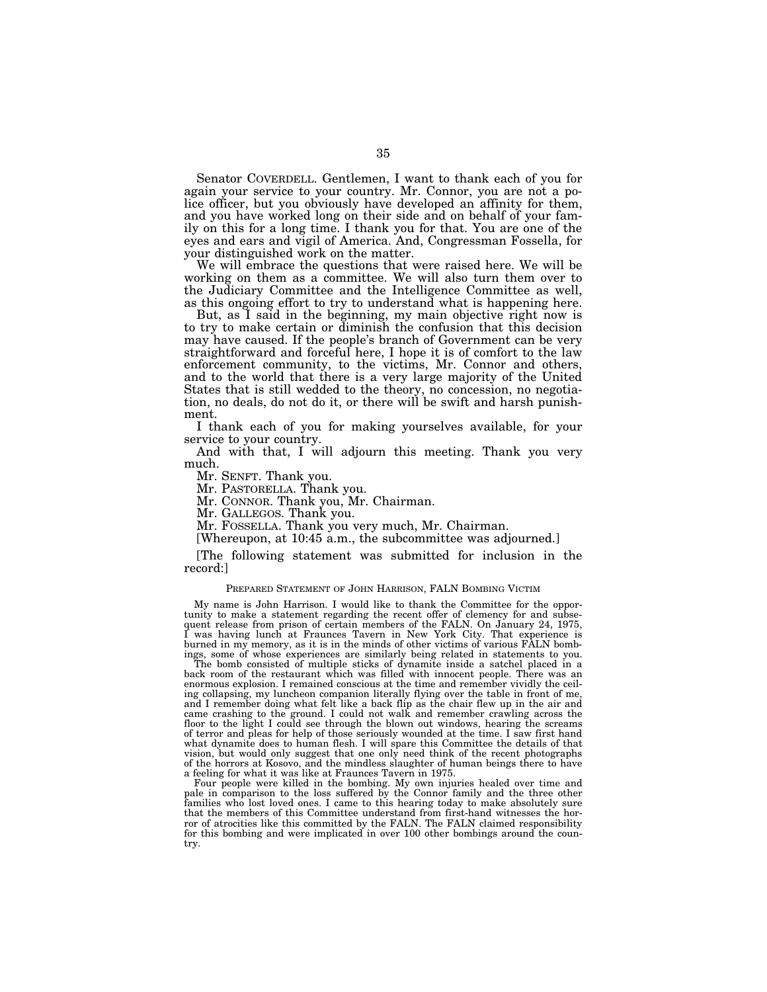Senator COVERDELL. Gentlemen, I want to thank each of you for again your service to your country. Mr. Connor, you are not a police officer, but you obviously have developed an affinity for them, and you have worked long on their side and on behalf of your family on this for a long time. I thank you for that. You are one of the eyes and ears and vigil of America. And, Congressman Fossella, for your distinguished work on the matter.

We will embrace the questions that were raised here. We will be working on them as a committee. We will also turn them over to the Judiciary Committee and the Intelligence Committee as well, as this ongoing effort to try to understand what is happening here.

But, as I said in the beginning, my main objective right now is to try to make certain or diminish the confusion that this decision may have caused. If the people's branch of Government can be very straightforward and forceful here, I hope it is of comfort to the law enforcement community, to the victims, Mr. Connor and others, and to the world that there is a very large majority of the United States that is still wedded to the theory, no concession, no negotiation, no deals, do not do it, or there will be swift and harsh punishment.

I thank each of you for making yourselves available, for your service to your country.

And with that, I will adjourn this meeting. Thank you very much.

Mr. SENFT. Thank you.

Mr. PASTORELLA. Thank you.

Mr. CONNOR. Thank you, Mr. Chairman.

Mr. GALLEGOS. Thank you.

Mr. FOSSELLA. Thank you very much, Mr. Chairman.

[Whereupon, at 10:45 a.m., the subcommittee was adjourned.]

[The following statement was submitted for inclusion in the record:]

#### PREPARED STATEMENT OF JOHN HARRISON, FALN BOMBING VICTIM

My name is John Harrison. I would like to thank the Committee for the opportunity to make a statement regarding the recent offer of clemency for and subsequent release from prison of certain members of the FALN. On January 24, 1975,<br>I was bounced the FALN. On January 24, 1975, was having lunch at Fraunces Tavern in New York City. That experience is burned in my memory, as it is in the minds of other victims of various FALN bombings, some of whose experiences are similarly being related in statements to you.

The bomb consisted of multiple sticks of dynamite inside a satchel placed in a back room of the restaurant which was filled with innocent people. There was an enormous explosion. I remained conscious at the time and remember vividly the ceiling collapsing, my luncheon companion literally flying over the table in front of me, and I remember doing what felt like a back flip as the chair flew up in the air and came crashing to the ground. I could not walk and remember crawling across the floor to the light I could see through the blown out windows, hearing the screams of terror and pleas for help of those seriously wounded at the time. I saw first hand what dynamite does to human flesh. I will spare this Committee the details of that vision, but would only suggest that one only need think of the recent photographs of the horrors at Kosovo, and the mindless slaughter of human beings there to have a feeling for what it was like at Fraunces Tavern in 1975.

Four people were killed in the bombing. My own injuries healed over time and pale in comparison to the loss suffered by the Connor family and the three other families who lost loved ones. I came to this hearing today to make absolutely sure that the members of this Committee understand from first-hand witnesses the horror of atrocities like this committed by the FALN. The FALN claimed responsibility for this bombing and were implicated in over 100 other bombings around the country.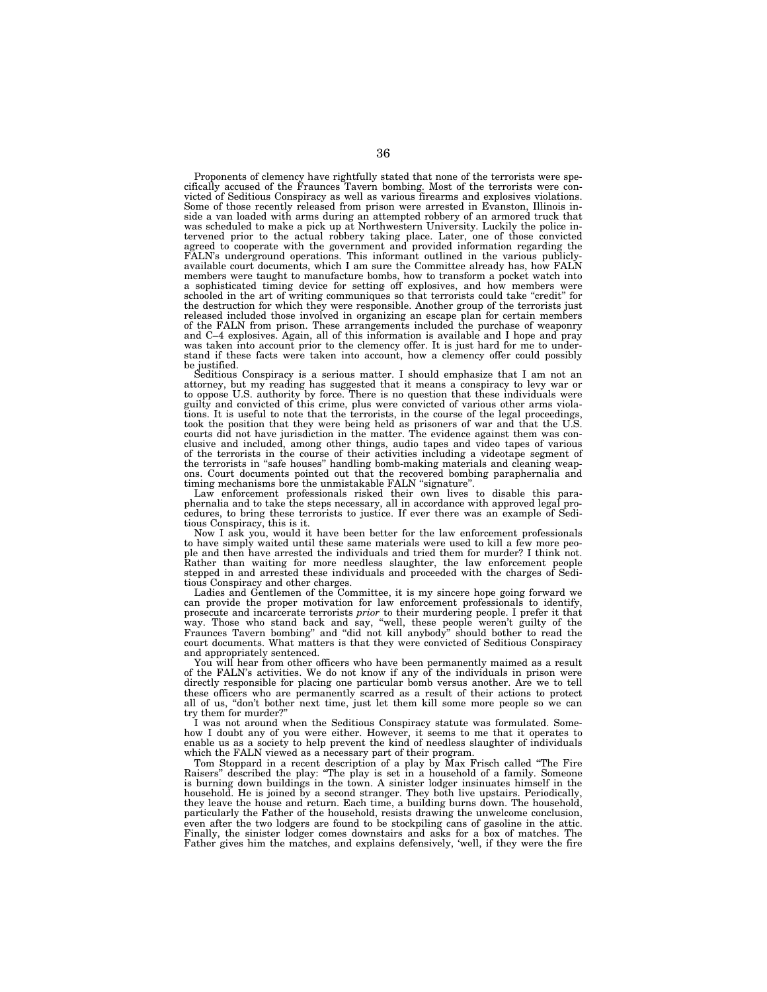Proponents of clemency have rightfully stated that none of the terrorists were specifically accused of the Fraunces Tavern bombing. Most of the terrorists were convicted of Seditious Conspiracy as well as various firearms and explosives violations. Some of those recently released from prison were arrested in Evanston, Illinois inside a van loaded with arms during an attempted robbery of an armored truck that was scheduled to make a pick up at Northwestern University. Luckily the police intervened prior to the actual robbery taking place. Later, one of those convicted agreed to cooperate with the government and provided information regarding the FALN's underground operations. This informant outlined in the various publiclyavailable court documents, which I am sure the Committee already has, how FALN members were taught to manufacture bombs, how to transform a pocket watch into a sophisticated timing device for setting off explosives, and how members were schooled in the art of writing communiques so that terrorists could take "credit" for the destruction for which they were responsible. Another group of the terrorists just released included those involved in organizing an escape plan for certain members of the FALN from prison. These arrangements included the purchase of weaponry and C–4 explosives. Again, all of this information is available and I hope and pray was taken into account prior to the clemency offer. It is just hard for me to understand if these facts were taken into account, how a clemency offer could possibly be justified.

Seditious Conspiracy is a serious matter. I should emphasize that I am not an attorney, but my reading has suggested that it means a conspiracy to levy war or to oppose U.S. authority by force. There is no question that these individuals were guilty and convicted of this crime, plus were convicted of various other arms violations. It is useful to note that the terrorists, in the course of the legal proceedings, took the position that they were being held as prisoners of war and that the U.S. courts did not have jurisdiction in the matter. The clusive and included, among other things, audio tapes and video tapes of various<br>of the terrorists in the course of their activities including a videotape segment of<br>the terrorists in "safe houses" handling bomb-making mat ons. Court documents pointed out that the recovered bombing paraphernalia and

timing mechanisms bore the unmistakable FALN ''signature''. Law enforcement professionals risked their own lives to disable this paraphernalia and to take the steps necessary, all in accordance with approved legal procedures, to bring these terrorists to justice. If ever there was an example of Seditious Conspiracy, this is it.

Now I ask you, would it have been better for the law enforcement professionals to have simply waited until these same materials were used to kill a few more peo-ple and then have arrested the individuals and tried them for murder? I think not. Rather than waiting for more needless slaughter, the law enforcement people stepped in and arrested these individuals and proceeded with the charges of Seditious Conspiracy and other charges.

Ladies and Gentlemen of the Committee, it is my sincere hope going forward we can provide the proper motivation for law enforcement professionals to identify, prosecute and incarcerate terrorists *prior* to their murdering people. I prefer it that way. Those who stand back and say, ''well, these people weren't guilty of the Fraunces Tavern bombing'' and ''did not kill anybody'' should bother to read the court documents. What matters is that they were convicted of Seditious Conspiracy and appropriately sentenced.

You will hear from other officers who have been permanently maimed as a result of the FALN's activities. We do not know if any of the individuals in prison were directly responsible for placing one particular bomb versus another. Are we to tell these officers who are permanently scarred as a result of their actions to protect all of us, ''don't bother next time, just let them kill some more people so we can try them for murder?''

I was not around when the Seditious Conspiracy statute was formulated. Somehow I doubt any of you were either. However, it seems to me that it operates to enable us as a society to help prevent the kind of needless slaughter of individuals which the FALN viewed as a necessary part of their program.

Tom Stoppard in a recent description of a play by Max Frisch called ''The Fire Raisers'' described the play: ''The play is set in a household of a family. Someone is burning down buildings in the town. A sinister lodger insinuates himself in the household. He is joined by a second stranger. They both live upstairs. Periodically, they leave the house and return. Each time, a building burns down. The household, particularly the Father of the household, resists drawing the unwelcome conclusion, even after the two lodgers are found to be stockpiling cans of gasoline in the attic. Finally, the sinister lodger comes downstairs and asks for a box of matches. The Father gives him the matches, and explains defensively, 'well, if they were the fire